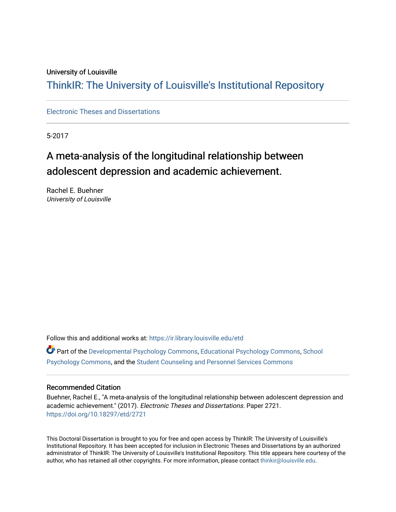#### University of Louisville

## ThinkIR: The Univ[ersity of Louisville's Institutional Reposit](https://ir.library.louisville.edu/)ory

[Electronic Theses and Dissertations](https://ir.library.louisville.edu/etd)

5-2017

## A meta-analysis of the longitudinal relationship between adolescent depression and academic achievement.

Rachel E. Buehner University of Louisville

Follow this and additional works at: [https://ir.library.louisville.edu/etd](https://ir.library.louisville.edu/etd?utm_source=ir.library.louisville.edu%2Fetd%2F2721&utm_medium=PDF&utm_campaign=PDFCoverPages) 

Part of the [Developmental Psychology Commons,](http://network.bepress.com/hgg/discipline/410?utm_source=ir.library.louisville.edu%2Fetd%2F2721&utm_medium=PDF&utm_campaign=PDFCoverPages) [Educational Psychology Commons](http://network.bepress.com/hgg/discipline/798?utm_source=ir.library.louisville.edu%2Fetd%2F2721&utm_medium=PDF&utm_campaign=PDFCoverPages), [School](http://network.bepress.com/hgg/discipline/1072?utm_source=ir.library.louisville.edu%2Fetd%2F2721&utm_medium=PDF&utm_campaign=PDFCoverPages) [Psychology Commons,](http://network.bepress.com/hgg/discipline/1072?utm_source=ir.library.louisville.edu%2Fetd%2F2721&utm_medium=PDF&utm_campaign=PDFCoverPages) and the [Student Counseling and Personnel Services Commons](http://network.bepress.com/hgg/discipline/802?utm_source=ir.library.louisville.edu%2Fetd%2F2721&utm_medium=PDF&utm_campaign=PDFCoverPages)

#### Recommended Citation

Buehner, Rachel E., "A meta-analysis of the longitudinal relationship between adolescent depression and academic achievement." (2017). Electronic Theses and Dissertations. Paper 2721. <https://doi.org/10.18297/etd/2721>

This Doctoral Dissertation is brought to you for free and open access by ThinkIR: The University of Louisville's Institutional Repository. It has been accepted for inclusion in Electronic Theses and Dissertations by an authorized administrator of ThinkIR: The University of Louisville's Institutional Repository. This title appears here courtesy of the author, who has retained all other copyrights. For more information, please contact [thinkir@louisville.edu.](mailto:thinkir@louisville.edu)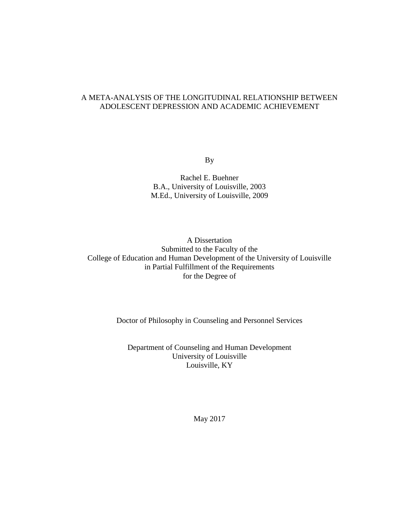### A META-ANALYSIS OF THE LONGITUDINAL RELATIONSHIP BETWEEN ADOLESCENT DEPRESSION AND ACADEMIC ACHIEVEMENT

By

Rachel E. Buehner B.A., University of Louisville, 2003 M.Ed., University of Louisville, 2009

A Dissertation Submitted to the Faculty of the College of Education and Human Development of the University of Louisville in Partial Fulfillment of the Requirements for the Degree of

Doctor of Philosophy in Counseling and Personnel Services

Department of Counseling and Human Development University of Louisville Louisville, KY

May 2017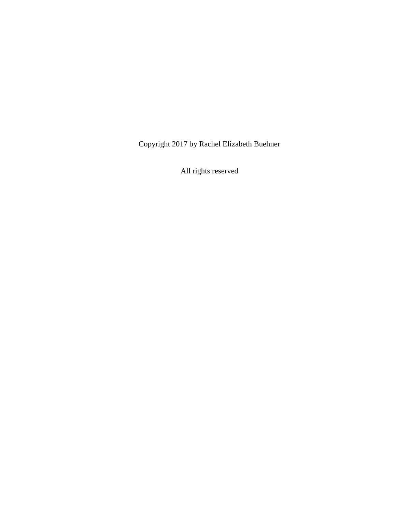Copyright 2017 by Rachel Elizabeth Buehner

All rights reserved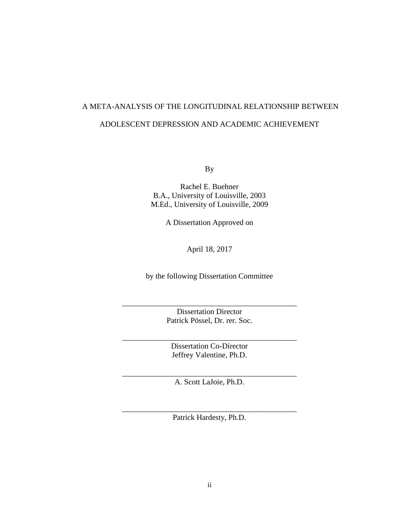# A META-ANALYSIS OF THE LONGITUDINAL RELATIONSHIP BETWEEN ADOLESCENT DEPRESSION AND ACADEMIC ACHIEVEMENT

By

Rachel E. Buehner B.A., University of Louisville, 2003 M.Ed., University of Louisville, 2009

A Dissertation Approved on

April 18, 2017

by the following Dissertation Committee

Dissertation Director Patrick Pössel, Dr. rer. Soc.

\_\_\_\_\_\_\_\_\_\_\_\_\_\_\_\_\_\_\_\_\_\_\_\_\_\_\_\_\_\_\_\_\_\_\_\_\_\_\_\_\_\_\_\_\_

Dissertation Co-Director Jeffrey Valentine, Ph.D.

\_\_\_\_\_\_\_\_\_\_\_\_\_\_\_\_\_\_\_\_\_\_\_\_\_\_\_\_\_\_\_\_\_\_\_\_\_\_\_\_\_\_\_\_\_

\_\_\_\_\_\_\_\_\_\_\_\_\_\_\_\_\_\_\_\_\_\_\_\_\_\_\_\_\_\_\_\_\_\_\_\_\_\_\_\_\_\_\_\_\_ A. Scott LaJoie, Ph.D.

\_\_\_\_\_\_\_\_\_\_\_\_\_\_\_\_\_\_\_\_\_\_\_\_\_\_\_\_\_\_\_\_\_\_\_\_\_\_\_\_\_\_\_\_\_ Patrick Hardesty, Ph.D.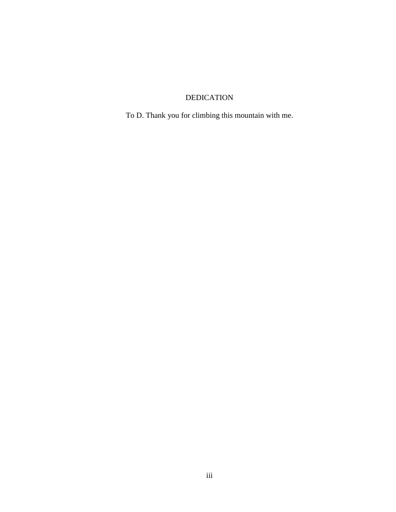## DEDICATION

To D. Thank you for climbing this mountain with me.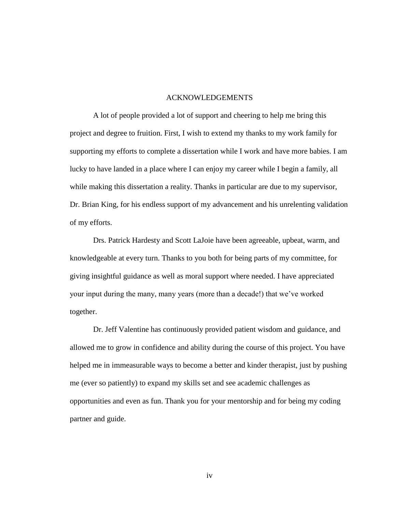#### ACKNOWLEDGEMENTS

A lot of people provided a lot of support and cheering to help me bring this project and degree to fruition. First, I wish to extend my thanks to my work family for supporting my efforts to complete a dissertation while I work and have more babies. I am lucky to have landed in a place where I can enjoy my career while I begin a family, all while making this dissertation a reality. Thanks in particular are due to my supervisor, Dr. Brian King, for his endless support of my advancement and his unrelenting validation of my efforts.

Drs. Patrick Hardesty and Scott LaJoie have been agreeable, upbeat, warm, and knowledgeable at every turn. Thanks to you both for being parts of my committee, for giving insightful guidance as well as moral support where needed. I have appreciated your input during the many, many years (more than a decade!) that we've worked together.

Dr. Jeff Valentine has continuously provided patient wisdom and guidance, and allowed me to grow in confidence and ability during the course of this project. You have helped me in immeasurable ways to become a better and kinder therapist, just by pushing me (ever so patiently) to expand my skills set and see academic challenges as opportunities and even as fun. Thank you for your mentorship and for being my coding partner and guide.

iv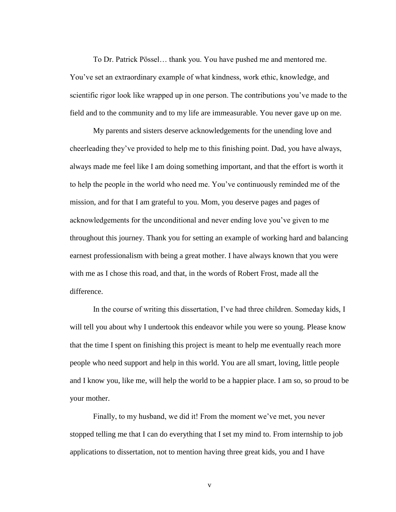To Dr. Patrick Pössel… thank you. You have pushed me and mentored me. You've set an extraordinary example of what kindness, work ethic, knowledge, and scientific rigor look like wrapped up in one person. The contributions you've made to the field and to the community and to my life are immeasurable. You never gave up on me.

My parents and sisters deserve acknowledgements for the unending love and cheerleading they've provided to help me to this finishing point. Dad, you have always, always made me feel like I am doing something important, and that the effort is worth it to help the people in the world who need me. You've continuously reminded me of the mission, and for that I am grateful to you. Mom, you deserve pages and pages of acknowledgements for the unconditional and never ending love you've given to me throughout this journey. Thank you for setting an example of working hard and balancing earnest professionalism with being a great mother. I have always known that you were with me as I chose this road, and that, in the words of Robert Frost, made all the difference.

In the course of writing this dissertation, I've had three children. Someday kids, I will tell you about why I undertook this endeavor while you were so young. Please know that the time I spent on finishing this project is meant to help me eventually reach more people who need support and help in this world. You are all smart, loving, little people and I know you, like me, will help the world to be a happier place. I am so, so proud to be your mother.

Finally, to my husband, we did it! From the moment we've met, you never stopped telling me that I can do everything that I set my mind to. From internship to job applications to dissertation, not to mention having three great kids, you and I have

v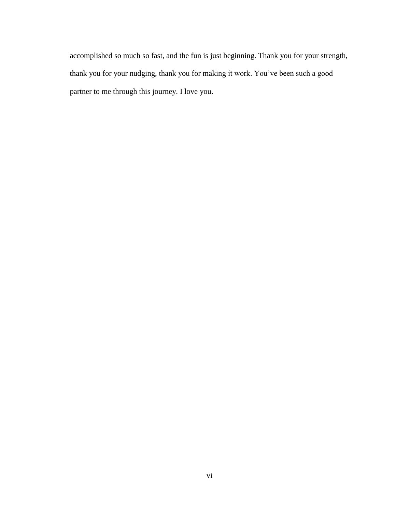accomplished so much so fast, and the fun is just beginning. Thank you for your strength, thank you for your nudging, thank you for making it work. You've been such a good partner to me through this journey. I love you.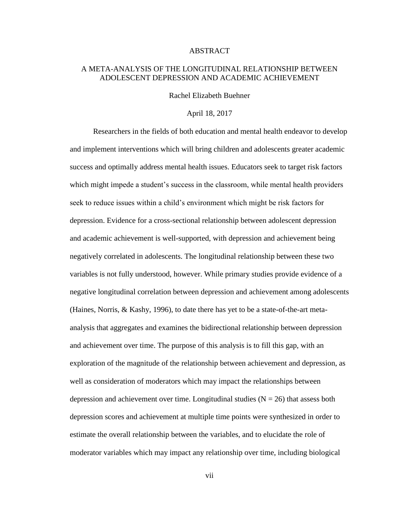#### ABSTRACT

#### A META-ANALYSIS OF THE LONGITUDINAL RELATIONSHIP BETWEEN ADOLESCENT DEPRESSION AND ACADEMIC ACHIEVEMENT

Rachel Elizabeth Buehner

#### April 18, 2017

Researchers in the fields of both education and mental health endeavor to develop and implement interventions which will bring children and adolescents greater academic success and optimally address mental health issues. Educators seek to target risk factors which might impede a student's success in the classroom, while mental health providers seek to reduce issues within a child's environment which might be risk factors for depression. Evidence for a cross-sectional relationship between adolescent depression and academic achievement is well-supported, with depression and achievement being negatively correlated in adolescents. The longitudinal relationship between these two variables is not fully understood, however. While primary studies provide evidence of a negative longitudinal correlation between depression and achievement among adolescents (Haines, Norris, & Kashy, 1996), to date there has yet to be a state-of-the-art metaanalysis that aggregates and examines the bidirectional relationship between depression and achievement over time. The purpose of this analysis is to fill this gap, with an exploration of the magnitude of the relationship between achievement and depression, as well as consideration of moderators which may impact the relationships between depression and achievement over time. Longitudinal studies  $(N = 26)$  that assess both depression scores and achievement at multiple time points were synthesized in order to estimate the overall relationship between the variables, and to elucidate the role of moderator variables which may impact any relationship over time, including biological

vii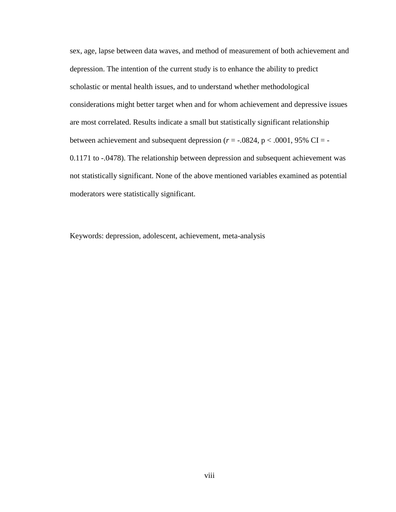sex, age, lapse between data waves, and method of measurement of both achievement and depression. The intention of the current study is to enhance the ability to predict scholastic or mental health issues, and to understand whether methodological considerations might better target when and for whom achievement and depressive issues are most correlated. Results indicate a small but statistically significant relationship between achievement and subsequent depression ( $r = -0.0824$ ,  $p < 0.001$ , 95% CI = -0.1171 to -.0478). The relationship between depression and subsequent achievement was not statistically significant. None of the above mentioned variables examined as potential moderators were statistically significant.

Keywords: depression, adolescent, achievement, meta-analysis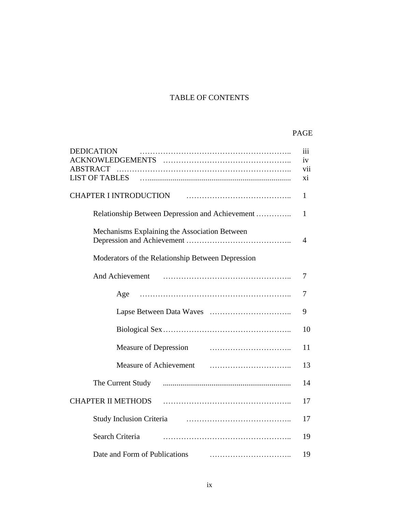## TABLE OF CONTENTS

## PAGE

| <b>DEDICATION</b>                                 | $\overline{111}$ |
|---------------------------------------------------|------------------|
|                                                   | iv               |
| <b>ABSTRACT</b><br><b>LIST OF TABLES</b>          | vii<br>xi        |
|                                                   |                  |
| <b>CHAPTER I INTRODUCTION</b>                     | 1                |
| Relationship Between Depression and Achievement   | $\mathbf{1}$     |
| Mechanisms Explaining the Association Between     |                  |
|                                                   | $\overline{4}$   |
| Moderators of the Relationship Between Depression |                  |
| And Achievement                                   | 7                |
| Age                                               | 7                |
|                                                   | 9                |
|                                                   | 10               |
| Measure of Depression                             | 11               |
| Measure of Achievement                            | 13               |
| The Current Study                                 | 14               |
| <b>CHAPTER II METHODS</b>                         | 17               |
| <b>Study Inclusion Criteria</b>                   | 17               |
| Search Criteria                                   | 19               |
| Date and Form of Publications                     | 19               |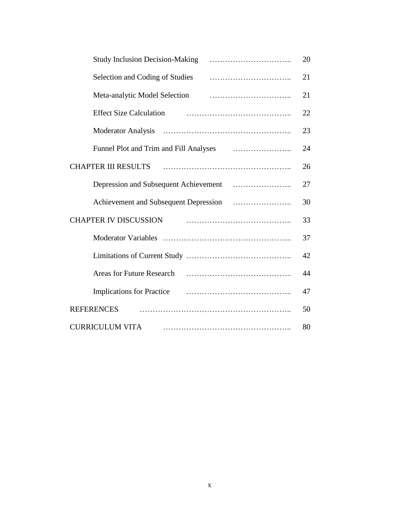| <b>Study Inclusion Decision-Making</b>                                                                                                                                                                                                                                                 | 20 |
|----------------------------------------------------------------------------------------------------------------------------------------------------------------------------------------------------------------------------------------------------------------------------------------|----|
| Selection and Coding of Studies                                                                                                                                                                                                                                                        | 21 |
| Meta-analytic Model Selection                                                                                                                                                                                                                                                          | 21 |
| <b>Effect Size Calculation</b>                                                                                                                                                                                                                                                         | 22 |
|                                                                                                                                                                                                                                                                                        | 23 |
|                                                                                                                                                                                                                                                                                        | 24 |
| <b>CHAPTER III RESULTS</b>                                                                                                                                                                                                                                                             | 26 |
|                                                                                                                                                                                                                                                                                        | 27 |
|                                                                                                                                                                                                                                                                                        | 30 |
| <b>CHAPTER IV DISCUSSION</b>                                                                                                                                                                                                                                                           | 33 |
|                                                                                                                                                                                                                                                                                        | 37 |
|                                                                                                                                                                                                                                                                                        | 42 |
| <b>Areas for Future Research</b>                                                                                                                                                                                                                                                       | 44 |
| Implications for Practice <i>maturemation</i> and <i>maturemation</i> and <i>maturemation</i> and <i>maturemation</i> and <i>maturemation</i> and <i>maturemation</i> and <i>maturemation</i> and <i>maturemation</i> and <i>maturemation</i> and <i>maturemation</i> and <i>matur</i> | 47 |
| <b>REFERENCES</b>                                                                                                                                                                                                                                                                      | 50 |
| <b>CURRICULUM VITA</b>                                                                                                                                                                                                                                                                 | 80 |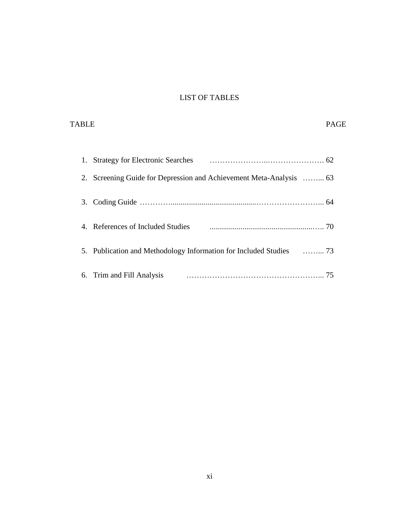## LIST OF TABLES

| TABLE                                                               | <b>PAGE</b> |
|---------------------------------------------------------------------|-------------|
|                                                                     |             |
| 1.                                                                  |             |
| 2.                                                                  |             |
| 3.                                                                  |             |
| 4. References of Included Studies                                   |             |
| 5. Publication and Methodology Information for Included Studies  73 |             |
| Trim and Fill Analysis<br>6.                                        | 75          |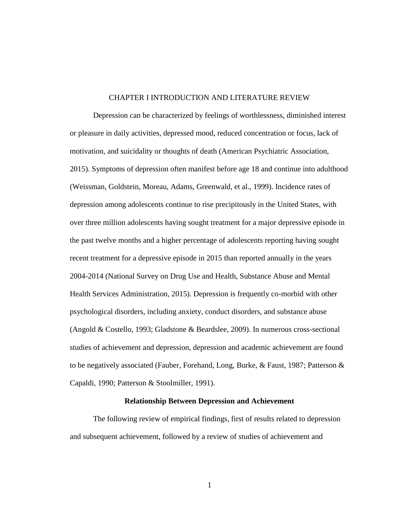#### CHAPTER I INTRODUCTION AND LITERATURE REVIEW

Depression can be characterized by feelings of worthlessness, diminished interest or pleasure in daily activities, depressed mood, reduced concentration or focus, lack of motivation, and suicidality or thoughts of death (American Psychiatric Association, 2015). Symptoms of depression often manifest before age 18 and continue into adulthood (Weissman, Goldstein, Moreau, Adams, Greenwald, et al., 1999). Incidence rates of depression among adolescents continue to rise precipitously in the United States, with over three million adolescents having sought treatment for a major depressive episode in the past twelve months and a higher percentage of adolescents reporting having sought recent treatment for a depressive episode in 2015 than reported annually in the years 2004-2014 (National Survey on Drug Use and Health, Substance Abuse and Mental Health Services Administration, 2015). Depression is frequently co-morbid with other psychological disorders, including anxiety, conduct disorders, and substance abuse (Angold & Costello, 1993; Gladstone & Beardslee, 2009). In numerous cross-sectional studies of achievement and depression, depression and academic achievement are found to be negatively associated (Fauber, Forehand, Long, Burke, & Faust, 1987; Patterson & Capaldi, 1990; Patterson & Stoolmiller, 1991).

#### **Relationship Between Depression and Achievement**

The following review of empirical findings, first of results related to depression and subsequent achievement, followed by a review of studies of achievement and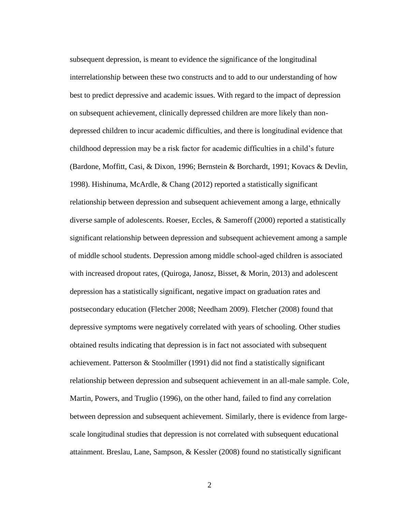subsequent depression, is meant to evidence the significance of the longitudinal interrelationship between these two constructs and to add to our understanding of how best to predict depressive and academic issues. With regard to the impact of depression on subsequent achievement, clinically depressed children are more likely than nondepressed children to incur academic difficulties, and there is longitudinal evidence that childhood depression may be a risk factor for academic difficulties in a child's future (Bardone, Moffitt, Casi, & Dixon, 1996; Bernstein & Borchardt, 1991; Kovacs & Devlin, 1998). Hishinuma, McArdle, & Chang (2012) reported a statistically significant relationship between depression and subsequent achievement among a large, ethnically diverse sample of adolescents. Roeser, Eccles, & Sameroff (2000) reported a statistically significant relationship between depression and subsequent achievement among a sample of middle school students. Depression among middle school-aged children is associated with increased dropout rates, (Quiroga, Janosz, Bisset, & Morin, 2013) and adolescent depression has a statistically significant, negative impact on graduation rates and postsecondary education (Fletcher 2008; Needham 2009). Fletcher (2008) found that depressive symptoms were negatively correlated with years of schooling. Other studies obtained results indicating that depression is in fact not associated with subsequent achievement. Patterson & Stoolmiller (1991) did not find a statistically significant relationship between depression and subsequent achievement in an all-male sample. Cole, Martin, Powers, and Truglio (1996), on the other hand, failed to find any correlation between depression and subsequent achievement. Similarly, there is evidence from largescale longitudinal studies that depression is not correlated with subsequent educational attainment. Breslau, Lane, Sampson, & Kessler (2008) found no statistically significant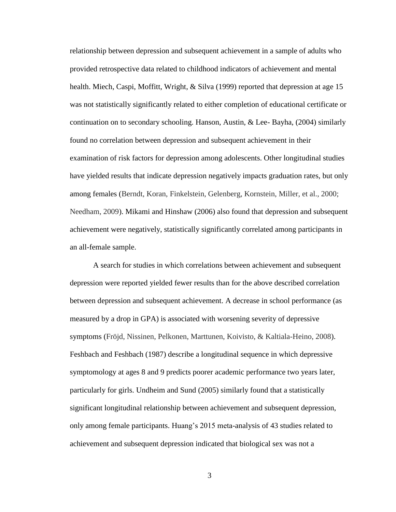relationship between depression and subsequent achievement in a sample of adults who provided retrospective data related to childhood indicators of achievement and mental health. Miech, Caspi, Moffitt, Wright, & Silva (1999) reported that depression at age 15 was not statistically significantly related to either completion of educational certificate or continuation on to secondary schooling. Hanson, Austin, & Lee- Bayha, (2004) similarly found no correlation between depression and subsequent achievement in their examination of risk factors for depression among adolescents. Other longitudinal studies have yielded results that indicate depression negatively impacts graduation rates, but only among females (Berndt, Koran, Finkelstein, Gelenberg, Kornstein, Miller, et al., 2000; Needham, 2009). Mikami and Hinshaw (2006) also found that depression and subsequent achievement were negatively, statistically significantly correlated among participants in an all-female sample.

A search for studies in which correlations between achievement and subsequent depression were reported yielded fewer results than for the above described correlation between depression and subsequent achievement. A decrease in school performance (as measured by a drop in GPA) is associated with worsening severity of depressive symptoms (Fröjd, Nissinen, Pelkonen, Marttunen, Koivisto, & Kaltiala-Heino, 2008). Feshbach and Feshbach (1987) describe a longitudinal sequence in which depressive symptomology at ages 8 and 9 predicts poorer academic performance two years later, particularly for girls. Undheim and Sund (2005) similarly found that a statistically significant longitudinal relationship between achievement and subsequent depression, only among female participants. Huang's 2015 meta-analysis of 43 studies related to achievement and subsequent depression indicated that biological sex was not a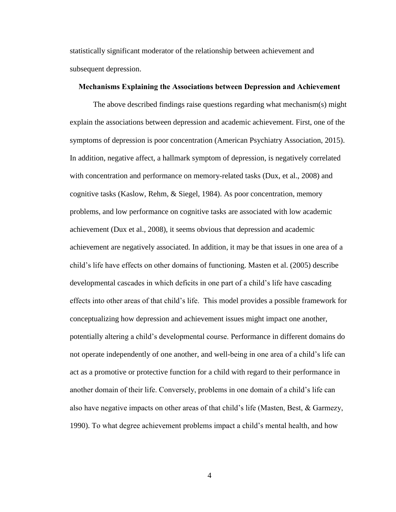statistically significant moderator of the relationship between achievement and subsequent depression.

#### **Mechanisms Explaining the Associations between Depression and Achievement**

The above described findings raise questions regarding what mechanism(s) might explain the associations between depression and academic achievement. First, one of the symptoms of depression is poor concentration (American Psychiatry Association, 2015). In addition, negative affect, a hallmark symptom of depression, is negatively correlated with concentration and performance on memory-related tasks (Dux, et al., 2008) and cognitive tasks (Kaslow, Rehm, & Siegel, 1984). As poor concentration, memory problems, and low performance on cognitive tasks are associated with low academic achievement (Dux et al., 2008), it seems obvious that depression and academic achievement are negatively associated. In addition, it may be that issues in one area of a child's life have effects on other domains of functioning. Masten et al. (2005) describe developmental cascades in which deficits in one part of a child's life have cascading effects into other areas of that child's life. This model provides a possible framework for conceptualizing how depression and achievement issues might impact one another, potentially altering a child's developmental course. Performance in different domains do not operate independently of one another, and well-being in one area of a child's life can act as a promotive or protective function for a child with regard to their performance in another domain of their life. Conversely, problems in one domain of a child's life can also have negative impacts on other areas of that child's life (Masten, Best,  $\&$  Garmezy, 1990). To what degree achievement problems impact a child's mental health, and how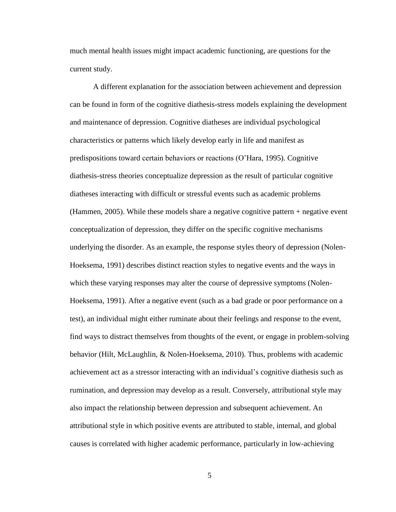much mental health issues might impact academic functioning, are questions for the current study.

A different explanation for the association between achievement and depression can be found in form of the cognitive diathesis-stress models explaining the development and maintenance of depression. Cognitive diatheses are individual psychological characteristics or patterns which likely develop early in life and manifest as predispositions toward certain behaviors or reactions (O'Hara, 1995). Cognitive diathesis-stress theories conceptualize depression as the result of particular cognitive diatheses interacting with difficult or stressful events such as academic problems (Hammen, 2005). While these models share a negative cognitive pattern + negative event conceptualization of depression, they differ on the specific cognitive mechanisms underlying the disorder. As an example, the response styles theory of depression (Nolen-Hoeksema, 1991) describes distinct reaction styles to negative events and the ways in which these varying responses may alter the course of depressive symptoms (Nolen-Hoeksema, 1991). After a negative event (such as a bad grade or poor performance on a test), an individual might either ruminate about their feelings and response to the event, find ways to distract themselves from thoughts of the event, or engage in problem-solving behavior (Hilt, McLaughlin, & Nolen-Hoeksema, 2010). Thus, problems with academic achievement act as a stressor interacting with an individual's cognitive diathesis such as rumination, and depression may develop as a result. Conversely, attributional style may also impact the relationship between depression and subsequent achievement. An attributional style in which positive events are attributed to stable, internal, and global causes is correlated with higher academic performance, particularly in low-achieving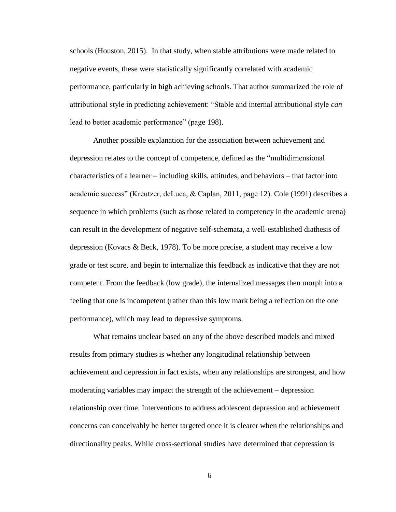schools (Houston, 2015). In that study, when stable attributions were made related to negative events, these were statistically significantly correlated with academic performance, particularly in high achieving schools. That author summarized the role of attributional style in predicting achievement: "Stable and internal attributional style *can* lead to better academic performance" (page 198).

Another possible explanation for the association between achievement and depression relates to the concept of competence, defined as the "multidimensional characteristics of a learner – including skills, attitudes, and behaviors – that factor into academic success" (Kreutzer, deLuca, & Caplan, 2011, page 12). Cole (1991) describes a sequence in which problems (such as those related to competency in the academic arena) can result in the development of negative self-schemata, a well-established diathesis of depression (Kovacs & Beck, 1978). To be more precise, a student may receive a low grade or test score, and begin to internalize this feedback as indicative that they are not competent. From the feedback (low grade), the internalized messages then morph into a feeling that one is incompetent (rather than this low mark being a reflection on the one performance), which may lead to depressive symptoms.

What remains unclear based on any of the above described models and mixed results from primary studies is whether any longitudinal relationship between achievement and depression in fact exists, when any relationships are strongest, and how moderating variables may impact the strength of the achievement – depression relationship over time. Interventions to address adolescent depression and achievement concerns can conceivably be better targeted once it is clearer when the relationships and directionality peaks. While cross-sectional studies have determined that depression is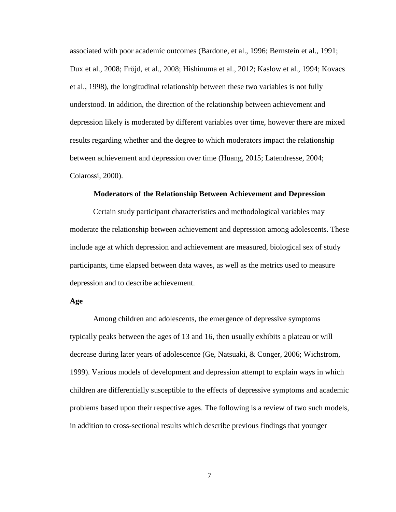associated with poor academic outcomes (Bardone, et al., 1996; Bernstein et al., 1991; Dux et al., 2008; Fröjd, et al., 2008; Hishinuma et al., 2012; Kaslow et al., 1994; Kovacs et al., 1998), the longitudinal relationship between these two variables is not fully understood. In addition, the direction of the relationship between achievement and depression likely is moderated by different variables over time, however there are mixed results regarding whether and the degree to which moderators impact the relationship between achievement and depression over time (Huang, 2015; Latendresse, 2004; Colarossi, 2000).

#### **Moderators of the Relationship Between Achievement and Depression**

Certain study participant characteristics and methodological variables may moderate the relationship between achievement and depression among adolescents. These include age at which depression and achievement are measured, biological sex of study participants, time elapsed between data waves, as well as the metrics used to measure depression and to describe achievement.

#### **Age**

Among children and adolescents, the emergence of depressive symptoms typically peaks between the ages of 13 and 16, then usually exhibits a plateau or will decrease during later years of adolescence (Ge, Natsuaki, & Conger, 2006; Wichstrom, 1999). Various models of development and depression attempt to explain ways in which children are differentially susceptible to the effects of depressive symptoms and academic problems based upon their respective ages. The following is a review of two such models, in addition to cross-sectional results which describe previous findings that younger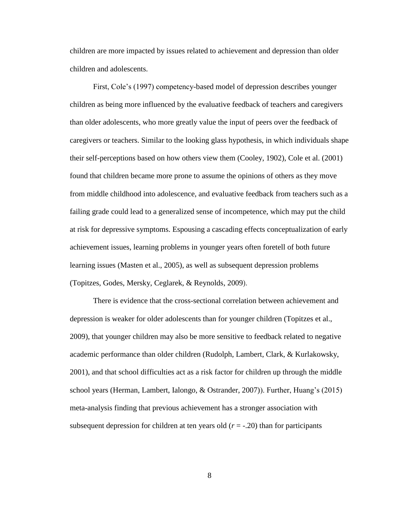children are more impacted by issues related to achievement and depression than older children and adolescents.

First, Cole's (1997) competency-based model of depression describes younger children as being more influenced by the evaluative feedback of teachers and caregivers than older adolescents, who more greatly value the input of peers over the feedback of caregivers or teachers. Similar to the looking glass hypothesis, in which individuals shape their self-perceptions based on how others view them (Cooley, 1902), Cole et al. (2001) found that children became more prone to assume the opinions of others as they move from middle childhood into adolescence, and evaluative feedback from teachers such as a failing grade could lead to a generalized sense of incompetence, which may put the child at risk for depressive symptoms. Espousing a cascading effects conceptualization of early achievement issues, learning problems in younger years often foretell of both future learning issues (Masten et al., 2005), as well as subsequent depression problems (Topitzes, Godes, Mersky, Ceglarek, & Reynolds, 2009).

There is evidence that the cross-sectional correlation between achievement and depression is weaker for older adolescents than for younger children (Topitzes et al., 2009), that younger children may also be more sensitive to feedback related to negative academic performance than older children (Rudolph, Lambert, Clark, & Kurlakowsky, 2001), and that school difficulties act as a risk factor for children up through the middle school years (Herman, Lambert, Ialongo, & Ostrander, 2007)). Further, Huang's (2015) meta-analysis finding that previous achievement has a stronger association with subsequent depression for children at ten years old  $(r = -0.20)$  than for participants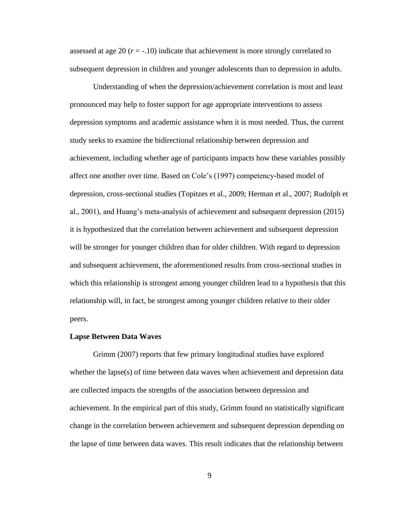assessed at age 20  $(r = -10)$  indicate that achievement is more strongly correlated to subsequent depression in children and younger adolescents than to depression in adults.

Understanding of when the depression/achievement correlation is most and least pronounced may help to foster support for age appropriate interventions to assess depression symptoms and academic assistance when it is most needed. Thus, the current study seeks to examine the bidirectional relationship between depression and achievement, including whether age of participants impacts how these variables possibly affect one another over time. Based on Cole's (1997) competency-based model of depression, cross-sectional studies (Topitzes et al., 2009; Herman et al., 2007; Rudolph et al., 2001), and Huang's meta-analysis of achievement and subsequent depression (2015) it is hypothesized that the correlation between achievement and subsequent depression will be stronger for younger children than for older children. With regard to depression and subsequent achievement, the aforementioned results from cross-sectional studies in which this relationship is strongest among younger children lead to a hypothesis that this relationship will, in fact, be strongest among younger children relative to their older peers.

#### **Lapse Between Data Waves**

Grimm (2007) reports that few primary longitudinal studies have explored whether the lapse(s) of time between data waves when achievement and depression data are collected impacts the strengths of the association between depression and achievement. In the empirical part of this study, Grimm found no statistically significant change in the correlation between achievement and subsequent depression depending on the lapse of time between data waves. This result indicates that the relationship between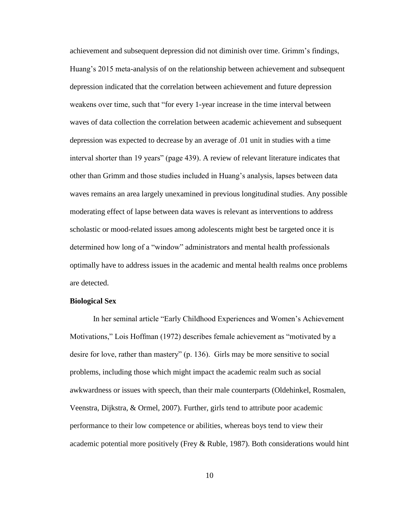achievement and subsequent depression did not diminish over time. Grimm's findings, Huang's 2015 meta-analysis of on the relationship between achievement and subsequent depression indicated that the correlation between achievement and future depression weakens over time, such that "for every 1-year increase in the time interval between waves of data collection the correlation between academic achievement and subsequent depression was expected to decrease by an average of .01 unit in studies with a time interval shorter than 19 years" (page 439). A review of relevant literature indicates that other than Grimm and those studies included in Huang's analysis, lapses between data waves remains an area largely unexamined in previous longitudinal studies. Any possible moderating effect of lapse between data waves is relevant as interventions to address scholastic or mood-related issues among adolescents might best be targeted once it is determined how long of a "window" administrators and mental health professionals optimally have to address issues in the academic and mental health realms once problems are detected.

#### **Biological Sex**

In her seminal article "Early Childhood Experiences and Women's Achievement Motivations," Lois Hoffman (1972) describes female achievement as "motivated by a desire for love, rather than mastery" (p. 136). Girls may be more sensitive to social problems, including those which might impact the academic realm such as social awkwardness or issues with speech, than their male counterparts (Oldehinkel, Rosmalen, Veenstra, Dijkstra, & Ormel, 2007). Further, girls tend to attribute poor academic performance to their low competence or abilities, whereas boys tend to view their academic potential more positively (Frey  $\&$  Ruble, 1987). Both considerations would hint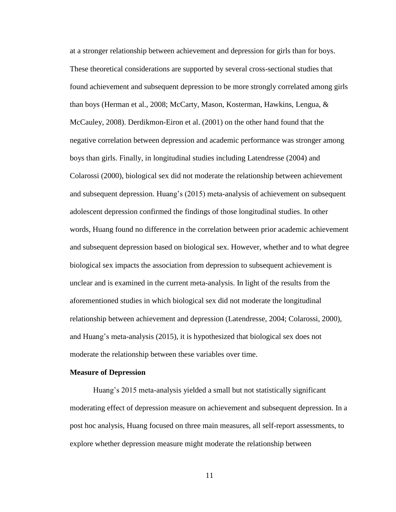at a stronger relationship between achievement and depression for girls than for boys. These theoretical considerations are supported by several cross-sectional studies that found achievement and subsequent depression to be more strongly correlated among girls than boys (Herman et al., 2008; McCarty, Mason, Kosterman, Hawkins, Lengua, & McCauley, 2008). Derdikmon-Eiron et al. (2001) on the other hand found that the negative correlation between depression and academic performance was stronger among boys than girls. Finally, in longitudinal studies including Latendresse (2004) and Colarossi (2000), biological sex did not moderate the relationship between achievement and subsequent depression. Huang's (2015) meta-analysis of achievement on subsequent adolescent depression confirmed the findings of those longitudinal studies. In other words, Huang found no difference in the correlation between prior academic achievement and subsequent depression based on biological sex. However, whether and to what degree biological sex impacts the association from depression to subsequent achievement is unclear and is examined in the current meta-analysis. In light of the results from the aforementioned studies in which biological sex did not moderate the longitudinal relationship between achievement and depression (Latendresse, 2004; Colarossi, 2000), and Huang's meta-analysis (2015), it is hypothesized that biological sex does not moderate the relationship between these variables over time.

#### **Measure of Depression**

Huang's 2015 meta-analysis yielded a small but not statistically significant moderating effect of depression measure on achievement and subsequent depression. In a post hoc analysis, Huang focused on three main measures, all self-report assessments, to explore whether depression measure might moderate the relationship between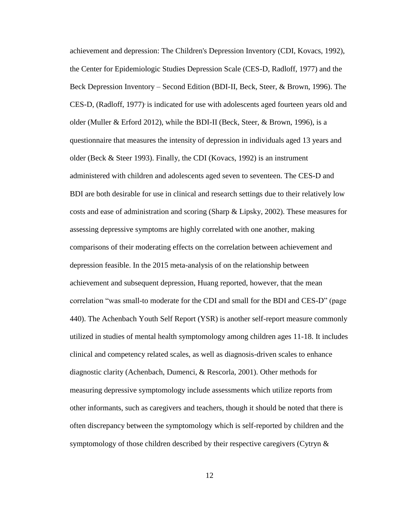achievement and depression: The Children's Depression Inventory (CDI, Kovacs, 1992), the Center for Epidemiologic Studies Depression Scale (CES-D, Radloff, 1977) and the Beck Depression Inventory – Second Edition (BDI-II, Beck, Steer, & Brown, 1996). The CES-D, (Radloff, 1977) is indicated for use with adolescents aged fourteen years old and older (Muller & Erford 2012), while the BDI-II (Beck, Steer, & Brown, 1996), is a questionnaire that measures the intensity of depression in individuals aged 13 years and older (Beck & Steer 1993). Finally, the CDI (Kovacs, 1992) is an instrument administered with children and adolescents aged seven to seventeen. The CES-D and BDI are both desirable for use in clinical and research settings due to their relatively low costs and ease of administration and scoring (Sharp & Lipsky, 2002). These measures for assessing depressive symptoms are highly correlated with one another, making comparisons of their moderating effects on the correlation between achievement and depression feasible. In the 2015 meta-analysis of on the relationship between achievement and subsequent depression, Huang reported, however, that the mean correlation "was small-to moderate for the CDI and small for the BDI and CES-D" (page 440). The Achenbach Youth Self Report (YSR) is another self-report measure commonly utilized in studies of mental health symptomology among children ages 11-18. It includes clinical and competency related scales, as well as diagnosis-driven scales to enhance diagnostic clarity (Achenbach, Dumenci, & Rescorla, 2001). Other methods for measuring depressive symptomology include assessments which utilize reports from other informants, such as caregivers and teachers, though it should be noted that there is often discrepancy between the symptomology which is self-reported by children and the symptomology of those children described by their respective caregivers (Cytryn  $\&$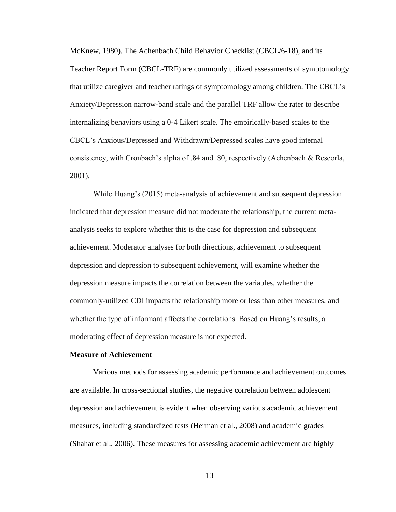McKnew, 1980). The Achenbach Child Behavior Checklist (CBCL/6-18), and its Teacher Report Form (CBCL-TRF) are commonly utilized assessments of symptomology that utilize caregiver and teacher ratings of symptomology among children. The CBCL's Anxiety/Depression narrow-band scale and the parallel TRF allow the rater to describe internalizing behaviors using a 0-4 Likert scale. The empirically-based scales to the CBCL's Anxious/Depressed and Withdrawn/Depressed scales have good internal consistency, with Cronbach's alpha of .84 and .80, respectively (Achenbach & Rescorla, 2001).

While Huang's (2015) meta-analysis of achievement and subsequent depression indicated that depression measure did not moderate the relationship, the current metaanalysis seeks to explore whether this is the case for depression and subsequent achievement. Moderator analyses for both directions, achievement to subsequent depression and depression to subsequent achievement, will examine whether the depression measure impacts the correlation between the variables, whether the commonly-utilized CDI impacts the relationship more or less than other measures, and whether the type of informant affects the correlations. Based on Huang's results, a moderating effect of depression measure is not expected.

#### **Measure of Achievement**

Various methods for assessing academic performance and achievement outcomes are available. In cross-sectional studies, the negative correlation between adolescent depression and achievement is evident when observing various academic achievement measures, including standardized tests (Herman et al., 2008) and academic grades (Shahar et al., 2006). These measures for assessing academic achievement are highly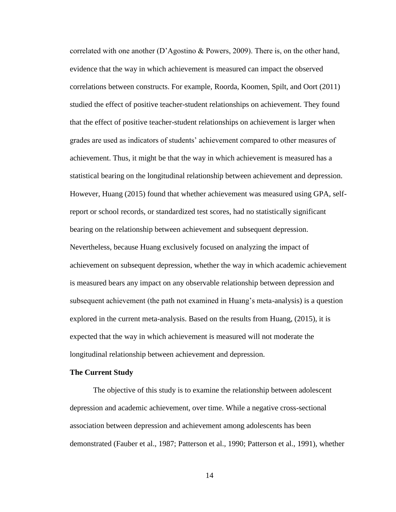correlated with one another (D'Agostino & Powers, 2009). There is, on the other hand, evidence that the way in which achievement is measured can impact the observed correlations between constructs. For example, Roorda, Koomen, Spilt, and Oort (2011) studied the effect of positive teacher-student relationships on achievement. They found that the effect of positive teacher-student relationships on achievement is larger when grades are used as indicators of students' achievement compared to other measures of achievement. Thus, it might be that the way in which achievement is measured has a statistical bearing on the longitudinal relationship between achievement and depression. However, Huang (2015) found that whether achievement was measured using GPA, selfreport or school records, or standardized test scores, had no statistically significant bearing on the relationship between achievement and subsequent depression. Nevertheless, because Huang exclusively focused on analyzing the impact of achievement on subsequent depression, whether the way in which academic achievement is measured bears any impact on any observable relationship between depression and subsequent achievement (the path not examined in Huang's meta-analysis) is a question explored in the current meta-analysis. Based on the results from Huang, (2015), it is expected that the way in which achievement is measured will not moderate the longitudinal relationship between achievement and depression.

#### **The Current Study**

The objective of this study is to examine the relationship between adolescent depression and academic achievement, over time. While a negative cross-sectional association between depression and achievement among adolescents has been demonstrated (Fauber et al., 1987; Patterson et al., 1990; Patterson et al., 1991), whether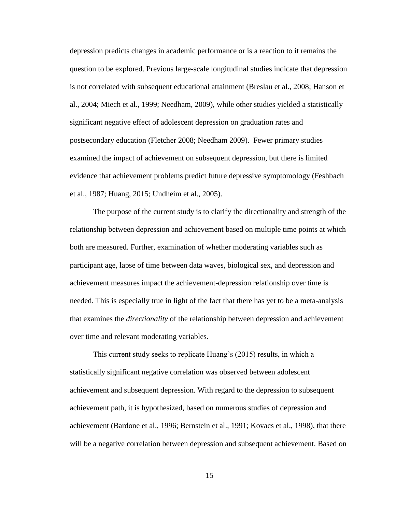depression predicts changes in academic performance or is a reaction to it remains the question to be explored. Previous large-scale longitudinal studies indicate that depression is not correlated with subsequent educational attainment (Breslau et al., 2008; Hanson et al., 2004; Miech et al., 1999; Needham, 2009), while other studies yielded a statistically significant negative effect of adolescent depression on graduation rates and postsecondary education (Fletcher 2008; Needham 2009). Fewer primary studies examined the impact of achievement on subsequent depression, but there is limited evidence that achievement problems predict future depressive symptomology (Feshbach et al., 1987; Huang, 2015; Undheim et al., 2005).

The purpose of the current study is to clarify the directionality and strength of the relationship between depression and achievement based on multiple time points at which both are measured. Further, examination of whether moderating variables such as participant age, lapse of time between data waves, biological sex, and depression and achievement measures impact the achievement-depression relationship over time is needed. This is especially true in light of the fact that there has yet to be a meta-analysis that examines the *directionality* of the relationship between depression and achievement over time and relevant moderating variables.

This current study seeks to replicate Huang's (2015) results, in which a statistically significant negative correlation was observed between adolescent achievement and subsequent depression. With regard to the depression to subsequent achievement path, it is hypothesized, based on numerous studies of depression and achievement (Bardone et al., 1996; Bernstein et al., 1991; Kovacs et al., 1998), that there will be a negative correlation between depression and subsequent achievement. Based on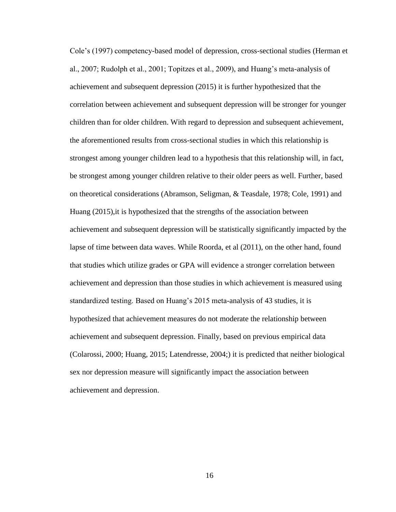Cole's (1997) competency-based model of depression, cross-sectional studies (Herman et al., 2007; Rudolph et al., 2001; Topitzes et al., 2009), and Huang's meta-analysis of achievement and subsequent depression (2015) it is further hypothesized that the correlation between achievement and subsequent depression will be stronger for younger children than for older children. With regard to depression and subsequent achievement, the aforementioned results from cross-sectional studies in which this relationship is strongest among younger children lead to a hypothesis that this relationship will, in fact, be strongest among younger children relative to their older peers as well. Further, based on theoretical considerations (Abramson, Seligman, & Teasdale, 1978; Cole, 1991) and Huang (2015),it is hypothesized that the strengths of the association between achievement and subsequent depression will be statistically significantly impacted by the lapse of time between data waves. While Roorda, et al (2011), on the other hand, found that studies which utilize grades or GPA will evidence a stronger correlation between achievement and depression than those studies in which achievement is measured using standardized testing. Based on Huang's 2015 meta-analysis of 43 studies, it is hypothesized that achievement measures do not moderate the relationship between achievement and subsequent depression. Finally, based on previous empirical data (Colarossi, 2000; Huang, 2015; Latendresse, 2004;) it is predicted that neither biological sex nor depression measure will significantly impact the association between achievement and depression.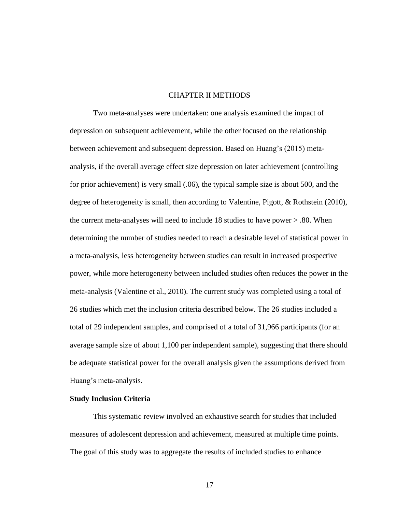#### CHAPTER II METHODS

Two meta-analyses were undertaken: one analysis examined the impact of depression on subsequent achievement, while the other focused on the relationship between achievement and subsequent depression. Based on Huang's (2015) metaanalysis, if the overall average effect size depression on later achievement (controlling for prior achievement) is very small (.06), the typical sample size is about 500, and the degree of heterogeneity is small, then according to Valentine, Pigott, & Rothstein (2010), the current meta-analyses will need to include 18 studies to have power > .80. When determining the number of studies needed to reach a desirable level of statistical power in a meta-analysis, less heterogeneity between studies can result in increased prospective power, while more heterogeneity between included studies often reduces the power in the meta-analysis (Valentine et al., 2010). The current study was completed using a total of 26 studies which met the inclusion criteria described below. The 26 studies included a total of 29 independent samples, and comprised of a total of 31,966 participants (for an average sample size of about 1,100 per independent sample), suggesting that there should be adequate statistical power for the overall analysis given the assumptions derived from Huang's meta-analysis.

#### **Study Inclusion Criteria**

This systematic review involved an exhaustive search for studies that included measures of adolescent depression and achievement, measured at multiple time points. The goal of this study was to aggregate the results of included studies to enhance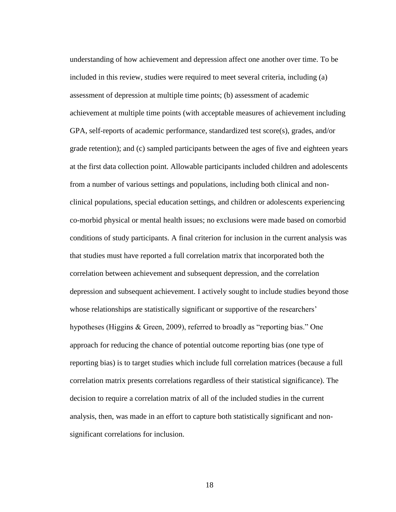understanding of how achievement and depression affect one another over time. To be included in this review, studies were required to meet several criteria, including (a) assessment of depression at multiple time points; (b) assessment of academic achievement at multiple time points (with acceptable measures of achievement including GPA, self-reports of academic performance, standardized test score(s), grades, and/or grade retention); and (c) sampled participants between the ages of five and eighteen years at the first data collection point. Allowable participants included children and adolescents from a number of various settings and populations, including both clinical and nonclinical populations, special education settings, and children or adolescents experiencing co-morbid physical or mental health issues; no exclusions were made based on comorbid conditions of study participants. A final criterion for inclusion in the current analysis was that studies must have reported a full correlation matrix that incorporated both the correlation between achievement and subsequent depression, and the correlation depression and subsequent achievement. I actively sought to include studies beyond those whose relationships are statistically significant or supportive of the researchers' hypotheses (Higgins & Green, 2009), referred to broadly as "reporting bias." One approach for reducing the chance of potential outcome reporting bias (one type of reporting bias) is to target studies which include full correlation matrices (because a full correlation matrix presents correlations regardless of their statistical significance). The decision to require a correlation matrix of all of the included studies in the current analysis, then, was made in an effort to capture both statistically significant and nonsignificant correlations for inclusion.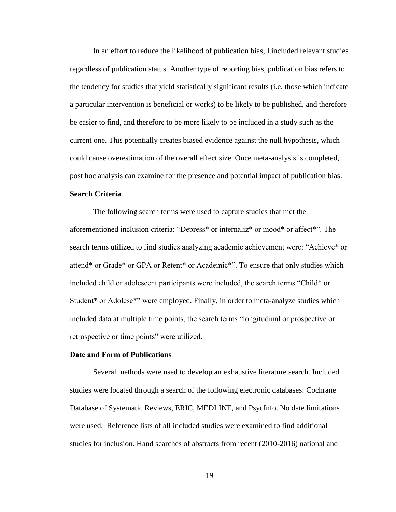In an effort to reduce the likelihood of publication bias, I included relevant studies regardless of publication status. Another type of reporting bias, publication bias refers to the tendency for studies that yield statistically significant results (i.e. those which indicate a particular intervention is beneficial or works) to be likely to be published, and therefore be easier to find, and therefore to be more likely to be included in a study such as the current one. This potentially creates biased evidence against the null hypothesis, which could cause overestimation of the overall effect size. Once meta-analysis is completed, post hoc analysis can examine for the presence and potential impact of publication bias.

#### **Search Criteria**

The following search terms were used to capture studies that met the aforementioned inclusion criteria: "Depress\* or internaliz\* or mood\* or affect\*". The search terms utilized to find studies analyzing academic achievement were: "Achieve\* or attend\* or Grade\* or GPA or Retent\* or Academic\*". To ensure that only studies which included child or adolescent participants were included, the search terms "Child\* or Student\* or Adolesc\*" were employed. Finally, in order to meta-analyze studies which included data at multiple time points, the search terms "longitudinal or prospective or retrospective or time points" were utilized.

#### **Date and Form of Publications**

Several methods were used to develop an exhaustive literature search. Included studies were located through a search of the following electronic databases: Cochrane Database of Systematic Reviews, ERIC, MEDLINE, and PsycInfo. No date limitations were used. Reference lists of all included studies were examined to find additional studies for inclusion. Hand searches of abstracts from recent (2010-2016) national and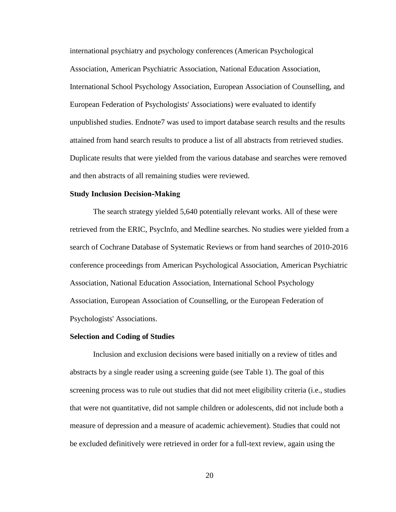international psychiatry and psychology conferences (American Psychological Association, American Psychiatric Association, National Education Association, International School Psychology Association, European Association of Counselling, and European Federation of Psychologists' Associations) were evaluated to identify unpublished studies. Endnote7 was used to import database search results and the results attained from hand search results to produce a list of all abstracts from retrieved studies. Duplicate results that were yielded from the various database and searches were removed and then abstracts of all remaining studies were reviewed.

#### **Study Inclusion Decision-Making**

The search strategy yielded 5,640 potentially relevant works. All of these were retrieved from the ERIC, PsycInfo, and Medline searches. No studies were yielded from a search of Cochrane Database of Systematic Reviews or from hand searches of 2010-2016 conference proceedings from American Psychological Association, American Psychiatric Association, National Education Association, International School Psychology Association, European Association of Counselling, or the European Federation of Psychologists' Associations.

#### **Selection and Coding of Studies**

Inclusion and exclusion decisions were based initially on a review of titles and abstracts by a single reader using a screening guide (see Table 1). The goal of this screening process was to rule out studies that did not meet eligibility criteria (i.e., studies that were not quantitative, did not sample children or adolescents, did not include both a measure of depression and a measure of academic achievement). Studies that could not be excluded definitively were retrieved in order for a full-text review, again using the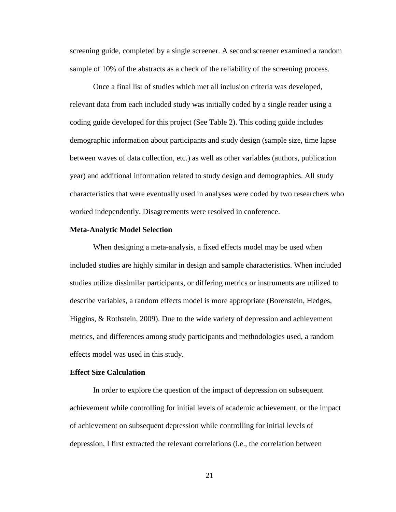screening guide, completed by a single screener. A second screener examined a random sample of 10% of the abstracts as a check of the reliability of the screening process.

Once a final list of studies which met all inclusion criteria was developed, relevant data from each included study was initially coded by a single reader using a coding guide developed for this project (See Table 2). This coding guide includes demographic information about participants and study design (sample size, time lapse between waves of data collection, etc.) as well as other variables (authors, publication year) and additional information related to study design and demographics. All study characteristics that were eventually used in analyses were coded by two researchers who worked independently. Disagreements were resolved in conference.

#### **Meta-Analytic Model Selection**

When designing a meta-analysis, a fixed effects model may be used when included studies are highly similar in design and sample characteristics. When included studies utilize dissimilar participants, or differing metrics or instruments are utilized to describe variables, a random effects model is more appropriate (Borenstein, Hedges, Higgins, & Rothstein, 2009). Due to the wide variety of depression and achievement metrics, and differences among study participants and methodologies used, a random effects model was used in this study.

#### **Effect Size Calculation**

In order to explore the question of the impact of depression on subsequent achievement while controlling for initial levels of academic achievement, or the impact of achievement on subsequent depression while controlling for initial levels of depression, I first extracted the relevant correlations (i.e., the correlation between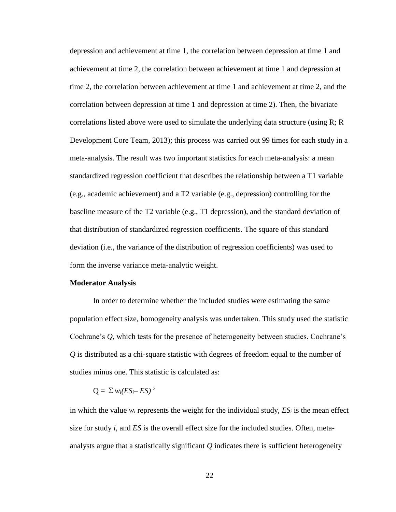depression and achievement at time 1, the correlation between depression at time 1 and achievement at time 2, the correlation between achievement at time 1 and depression at time 2, the correlation between achievement at time 1 and achievement at time 2, and the correlation between depression at time 1 and depression at time 2). Then, the bivariate correlations listed above were used to simulate the underlying data structure (using R; R Development Core Team, 2013); this process was carried out 99 times for each study in a meta-analysis. The result was two important statistics for each meta-analysis: a mean standardized regression coefficient that describes the relationship between a T1 variable (e.g., academic achievement) and a T2 variable (e.g., depression) controlling for the baseline measure of the T2 variable (e.g., T1 depression), and the standard deviation of that distribution of standardized regression coefficients. The square of this standard deviation (i.e., the variance of the distribution of regression coefficients) was used to form the inverse variance meta-analytic weight.

#### **Moderator Analysis**

In order to determine whether the included studies were estimating the same population effect size, homogeneity analysis was undertaken. This study used the statistic Cochrane's *Q,* which tests for the presence of heterogeneity between studies. Cochrane's *Q* is distributed as a chi-square statistic with degrees of freedom equal to the number of studies minus one. This statistic is calculated as:

$$
Q = \sum w_i (ES_i - ES)^2
$$

in which the value  $w_i$  represents the weight for the individual study,  $ES_i$  is the mean effect size for study *i*, and *ES* is the overall effect size for the included studies. Often, metaanalysts argue that a statistically significant *Q* indicates there is sufficient heterogeneity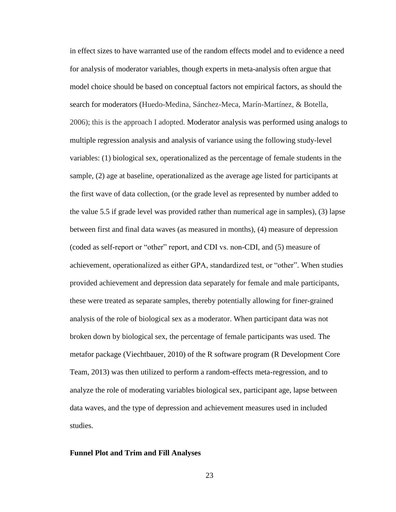in effect sizes to have warranted use of the random effects model and to evidence a need for analysis of moderator variables, though experts in meta-analysis often argue that model choice should be based on conceptual factors not empirical factors, as should the search for moderators (Huedo-Medina, Sánchez-Meca, Marín-Martínez, & Botella, 2006); this is the approach I adopted. Moderator analysis was performed using analogs to multiple regression analysis and analysis of variance using the following study-level variables: (1) biological sex, operationalized as the percentage of female students in the sample, (2) age at baseline, operationalized as the average age listed for participants at the first wave of data collection, (or the grade level as represented by number added to the value 5.5 if grade level was provided rather than numerical age in samples), (3) lapse between first and final data waves (as measured in months), (4) measure of depression (coded as self-report or "other" report, and CDI vs. non-CDI, and (5) measure of achievement, operationalized as either GPA, standardized test, or "other". When studies provided achievement and depression data separately for female and male participants, these were treated as separate samples, thereby potentially allowing for finer-grained analysis of the role of biological sex as a moderator. When participant data was not broken down by biological sex, the percentage of female participants was used. The metafor package (Viechtbauer, 2010) of the R software program (R Development Core Team, 2013) was then utilized to perform a random-effects meta-regression, and to analyze the role of moderating variables biological sex, participant age, lapse between data waves, and the type of depression and achievement measures used in included studies.

## **Funnel Plot and Trim and Fill Analyses**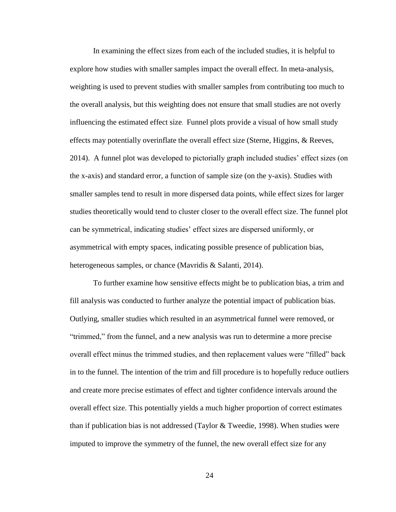In examining the effect sizes from each of the included studies, it is helpful to explore how studies with smaller samples impact the overall effect. In meta-analysis, weighting is used to prevent studies with smaller samples from contributing too much to the overall analysis, but this weighting does not ensure that small studies are not overly influencing the estimated effect size. Funnel plots provide a visual of how small study effects may potentially overinflate the overall effect size (Sterne, Higgins, & Reeves, 2014). A funnel plot was developed to pictorially graph included studies' effect sizes (on the x-axis) and standard error, a function of sample size (on the y-axis). Studies with smaller samples tend to result in more dispersed data points, while effect sizes for larger studies theoretically would tend to cluster closer to the overall effect size. The funnel plot can be symmetrical, indicating studies' effect sizes are dispersed uniformly, or asymmetrical with empty spaces, indicating possible presence of publication bias, heterogeneous samples, or chance (Mavridis & Salanti, 2014).

To further examine how sensitive effects might be to publication bias, a trim and fill analysis was conducted to further analyze the potential impact of publication bias. Outlying, smaller studies which resulted in an asymmetrical funnel were removed, or "trimmed," from the funnel, and a new analysis was run to determine a more precise overall effect minus the trimmed studies, and then replacement values were "filled" back in to the funnel. The intention of the trim and fill procedure is to hopefully reduce outliers and create more precise estimates of effect and tighter confidence intervals around the overall effect size. This potentially yields a much higher proportion of correct estimates than if publication bias is not addressed (Taylor & Tweedie, 1998). When studies were imputed to improve the symmetry of the funnel, the new overall effect size for any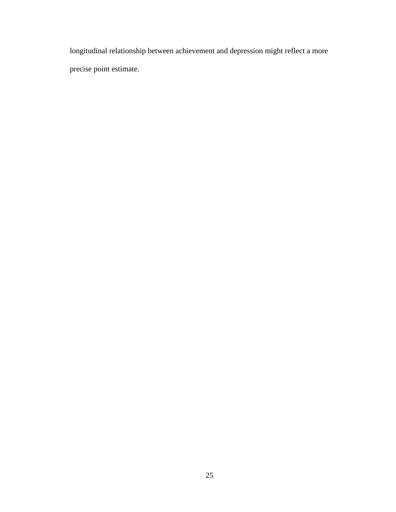longitudinal relationship between achievement and depression might reflect a more precise point estimate.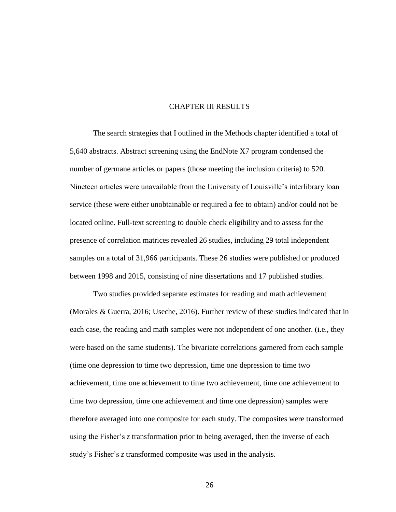# CHAPTER III RESULTS

The search strategies that I outlined in the Methods chapter identified a total of 5,640 abstracts. Abstract screening using the EndNote X7 program condensed the number of germane articles or papers (those meeting the inclusion criteria) to 520. Nineteen articles were unavailable from the University of Louisville's interlibrary loan service (these were either unobtainable or required a fee to obtain) and/or could not be located online. Full-text screening to double check eligibility and to assess for the presence of correlation matrices revealed 26 studies, including 29 total independent samples on a total of 31,966 participants. These 26 studies were published or produced between 1998 and 2015, consisting of nine dissertations and 17 published studies.

Two studies provided separate estimates for reading and math achievement (Morales & Guerra, 2016; Useche, 2016). Further review of these studies indicated that in each case, the reading and math samples were not independent of one another. (i.e., they were based on the same students). The bivariate correlations garnered from each sample (time one depression to time two depression, time one depression to time two achievement, time one achievement to time two achievement, time one achievement to time two depression, time one achievement and time one depression) samples were therefore averaged into one composite for each study. The composites were transformed using the Fisher's *z* transformation prior to being averaged, then the inverse of each study's Fisher's *z* transformed composite was used in the analysis.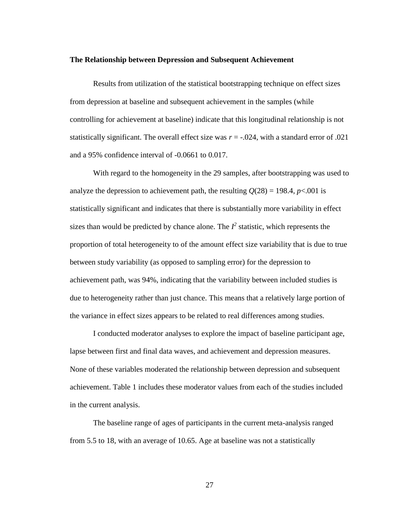#### **The Relationship between Depression and Subsequent Achievement**

Results from utilization of the statistical bootstrapping technique on effect sizes from depression at baseline and subsequent achievement in the samples (while controlling for achievement at baseline) indicate that this longitudinal relationship is not statistically significant. The overall effect size was  $r = -0.024$ , with a standard error of .021 and a 95% confidence interval of -0.0661 to 0.017.

With regard to the homogeneity in the 29 samples, after bootstrapping was used to analyze the depression to achievement path, the resulting  $Q(28) = 198.4$ ,  $p < .001$  is statistically significant and indicates that there is substantially more variability in effect sizes than would be predicted by chance alone. The  $I^2$  statistic, which represents the proportion of total heterogeneity to of the amount effect size variability that is due to true between study variability (as opposed to sampling error) for the depression to achievement path, was 94%, indicating that the variability between included studies is due to heterogeneity rather than just chance. This means that a relatively large portion of the variance in effect sizes appears to be related to real differences among studies.

I conducted moderator analyses to explore the impact of baseline participant age, lapse between first and final data waves, and achievement and depression measures. None of these variables moderated the relationship between depression and subsequent achievement. Table 1 includes these moderator values from each of the studies included in the current analysis.

The baseline range of ages of participants in the current meta-analysis ranged from 5.5 to 18, with an average of 10.65. Age at baseline was not a statistically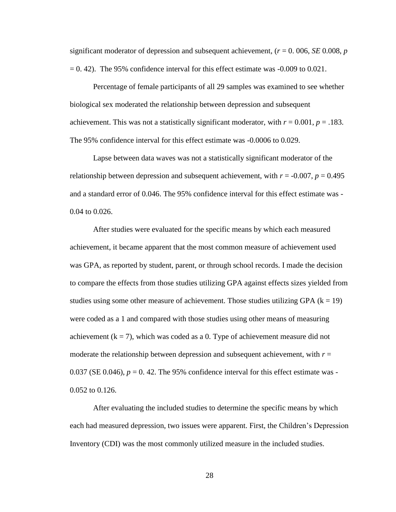significant moderator of depression and subsequent achievement, (*r* = 0. 006, *SE* 0.008, *p*  $= 0.42$ ). The 95% confidence interval for this effect estimate was  $-0.009$  to 0.021.

Percentage of female participants of all 29 samples was examined to see whether biological sex moderated the relationship between depression and subsequent achievement. This was not a statistically significant moderator, with  $r = 0.001$ ,  $p = .183$ . The 95% confidence interval for this effect estimate was -0.0006 to 0.029.

Lapse between data waves was not a statistically significant moderator of the relationship between depression and subsequent achievement, with  $r = -0.007$ ,  $p = 0.495$ and a standard error of 0.046. The 95% confidence interval for this effect estimate was - 0.04 to 0.026.

After studies were evaluated for the specific means by which each measured achievement, it became apparent that the most common measure of achievement used was GPA, as reported by student, parent, or through school records. I made the decision to compare the effects from those studies utilizing GPA against effects sizes yielded from studies using some other measure of achievement. Those studies utilizing GPA  $(k = 19)$ were coded as a 1 and compared with those studies using other means of measuring achievement ( $k = 7$ ), which was coded as a 0. Type of achievement measure did not moderate the relationship between depression and subsequent achievement, with  $r =$ 0.037 (SE 0.046),  $p = 0.42$ . The 95% confidence interval for this effect estimate was -0.052 to 0.126.

After evaluating the included studies to determine the specific means by which each had measured depression, two issues were apparent. First, the Children's Depression Inventory (CDI) was the most commonly utilized measure in the included studies.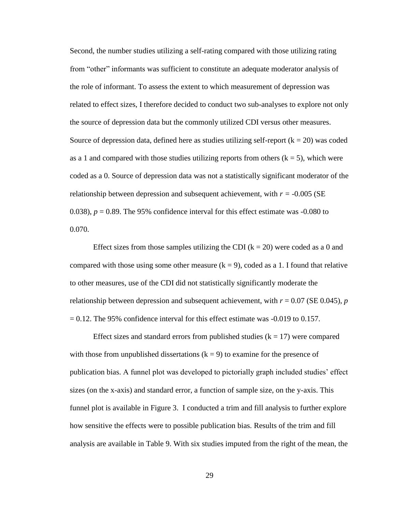Second, the number studies utilizing a self-rating compared with those utilizing rating from "other" informants was sufficient to constitute an adequate moderator analysis of the role of informant. To assess the extent to which measurement of depression was related to effect sizes, I therefore decided to conduct two sub-analyses to explore not only the source of depression data but the commonly utilized CDI versus other measures. Source of depression data, defined here as studies utilizing self-report  $(k = 20)$  was coded as a 1 and compared with those studies utilizing reports from others  $(k = 5)$ , which were coded as a 0. Source of depression data was not a statistically significant moderator of the relationship between depression and subsequent achievement, with  $r = -0.005$  (SE 0.038),  $p = 0.89$ . The 95% confidence interval for this effect estimate was  $-0.080$  to 0.070.

Effect sizes from those samples utilizing the CDI ( $k = 20$ ) were coded as a 0 and compared with those using some other measure  $(k = 9)$ , coded as a 1. I found that relative to other measures, use of the CDI did not statistically significantly moderate the relationship between depression and subsequent achievement, with *r* = 0.07 (SE 0.045), *p*   $= 0.12$ . The 95% confidence interval for this effect estimate was  $-0.019$  to 0.157.

Effect sizes and standard errors from published studies ( $k = 17$ ) were compared with those from unpublished dissertations  $(k = 9)$  to examine for the presence of publication bias. A funnel plot was developed to pictorially graph included studies' effect sizes (on the x-axis) and standard error, a function of sample size, on the y-axis. This funnel plot is available in Figure 3. I conducted a trim and fill analysis to further explore how sensitive the effects were to possible publication bias. Results of the trim and fill analysis are available in Table 9. With six studies imputed from the right of the mean, the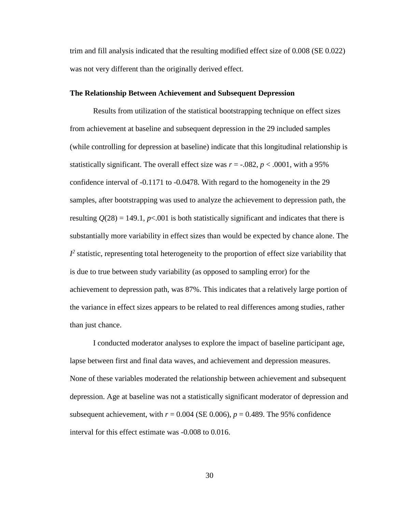trim and fill analysis indicated that the resulting modified effect size of 0.008 (SE 0.022) was not very different than the originally derived effect.

#### **The Relationship Between Achievement and Subsequent Depression**

Results from utilization of the statistical bootstrapping technique on effect sizes from achievement at baseline and subsequent depression in the 29 included samples (while controlling for depression at baseline) indicate that this longitudinal relationship is statistically significant. The overall effect size was  $r = -0.082$ ,  $p < .0001$ , with a 95% confidence interval of -0.1171 to -0.0478. With regard to the homogeneity in the 29 samples, after bootstrapping was used to analyze the achievement to depression path, the resulting  $O(28) = 149.1$ ,  $p < .001$  is both statistically significant and indicates that there is substantially more variability in effect sizes than would be expected by chance alone. The  $I^2$  statistic, representing total heterogeneity to the proportion of effect size variability that is due to true between study variability (as opposed to sampling error) for the achievement to depression path, was 87%. This indicates that a relatively large portion of the variance in effect sizes appears to be related to real differences among studies, rather than just chance.

I conducted moderator analyses to explore the impact of baseline participant age, lapse between first and final data waves, and achievement and depression measures. None of these variables moderated the relationship between achievement and subsequent depression. Age at baseline was not a statistically significant moderator of depression and subsequent achievement, with  $r = 0.004$  (SE 0.006),  $p = 0.489$ . The 95% confidence interval for this effect estimate was -0.008 to 0.016.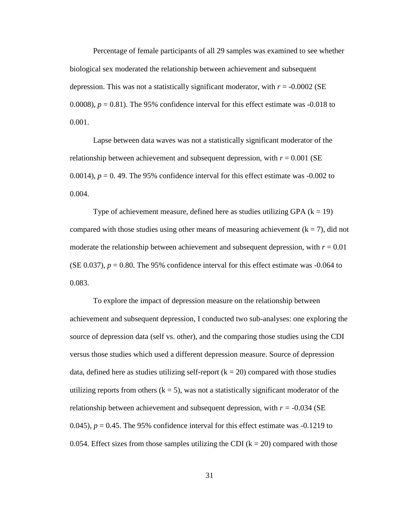Percentage of female participants of all 29 samples was examined to see whether biological sex moderated the relationship between achievement and subsequent depression. This was not a statistically significant moderator, with  $r = -0.0002$  (SE 0.0008),  $p = 0.81$ . The 95% confidence interval for this effect estimate was  $-0.018$  to 0.001.

Lapse between data waves was not a statistically significant moderator of the relationship between achievement and subsequent depression, with  $r = 0.001$  (SE 0.0014),  $p = 0$ . 49. The 95% confidence interval for this effect estimate was  $-0.002$  to 0.004.

Type of achievement measure, defined here as studies utilizing GPA  $(k = 19)$ compared with those studies using other means of measuring achievement  $(k = 7)$ , did not moderate the relationship between achievement and subsequent depression, with  $r = 0.01$ (SE 0.037),  $p = 0.80$ . The 95% confidence interval for this effect estimate was  $-0.064$  to 0.083.

To explore the impact of depression measure on the relationship between achievement and subsequent depression, I conducted two sub-analyses: one exploring the source of depression data (self vs. other), and the comparing those studies using the CDI versus those studies which used a different depression measure. Source of depression data, defined here as studies utilizing self-report  $(k = 20)$  compared with those studies utilizing reports from others  $(k = 5)$ , was not a statistically significant moderator of the relationship between achievement and subsequent depression, with  $r = -0.034$  (SE 0.045),  $p = 0.45$ . The 95% confidence interval for this effect estimate was  $-0.1219$  to 0.054. Effect sizes from those samples utilizing the CDI  $(k = 20)$  compared with those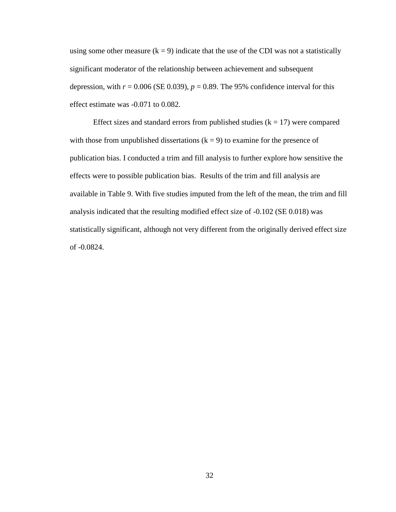using some other measure  $(k = 9)$  indicate that the use of the CDI was not a statistically significant moderator of the relationship between achievement and subsequent depression, with  $r = 0.006$  (SE 0.039),  $p = 0.89$ . The 95% confidence interval for this effect estimate was -0.071 to 0.082.

Effect sizes and standard errors from published studies  $(k = 17)$  were compared with those from unpublished dissertations  $(k = 9)$  to examine for the presence of publication bias. I conducted a trim and fill analysis to further explore how sensitive the effects were to possible publication bias. Results of the trim and fill analysis are available in Table 9. With five studies imputed from the left of the mean, the trim and fill analysis indicated that the resulting modified effect size of -0.102 (SE 0.018) was statistically significant, although not very different from the originally derived effect size of -0.0824.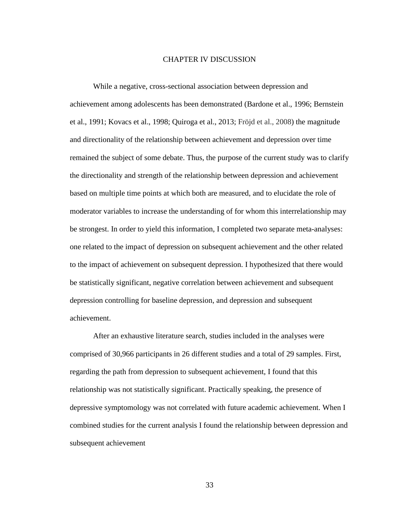#### CHAPTER IV DISCUSSION

While a negative, cross-sectional association between depression and achievement among adolescents has been demonstrated (Bardone et al., 1996; Bernstein et al., 1991; Kovacs et al., 1998; Quiroga et al., 2013; Fröjd et al., 2008) the magnitude and directionality of the relationship between achievement and depression over time remained the subject of some debate. Thus, the purpose of the current study was to clarify the directionality and strength of the relationship between depression and achievement based on multiple time points at which both are measured, and to elucidate the role of moderator variables to increase the understanding of for whom this interrelationship may be strongest. In order to yield this information, I completed two separate meta-analyses: one related to the impact of depression on subsequent achievement and the other related to the impact of achievement on subsequent depression. I hypothesized that there would be statistically significant, negative correlation between achievement and subsequent depression controlling for baseline depression, and depression and subsequent achievement.

After an exhaustive literature search, studies included in the analyses were comprised of 30,966 participants in 26 different studies and a total of 29 samples. First, regarding the path from depression to subsequent achievement, I found that this relationship was not statistically significant. Practically speaking, the presence of depressive symptomology was not correlated with future academic achievement. When I combined studies for the current analysis I found the relationship between depression and subsequent achievement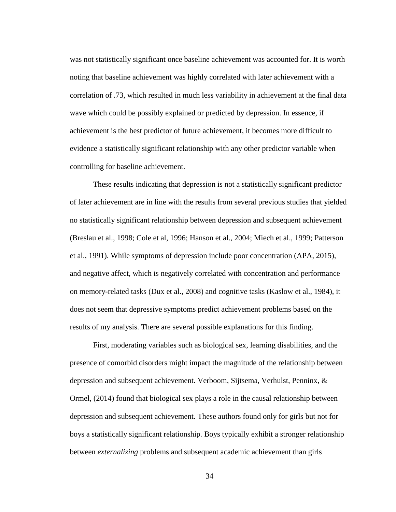was not statistically significant once baseline achievement was accounted for. It is worth noting that baseline achievement was highly correlated with later achievement with a correlation of .73, which resulted in much less variability in achievement at the final data wave which could be possibly explained or predicted by depression. In essence, if achievement is the best predictor of future achievement, it becomes more difficult to evidence a statistically significant relationship with any other predictor variable when controlling for baseline achievement.

These results indicating that depression is not a statistically significant predictor of later achievement are in line with the results from several previous studies that yielded no statistically significant relationship between depression and subsequent achievement (Breslau et al., 1998; Cole et al, 1996; Hanson et al., 2004; Miech et al., 1999; Patterson et al., 1991). While symptoms of depression include poor concentration (APA, 2015), and negative affect, which is negatively correlated with concentration and performance on memory-related tasks (Dux et al., 2008) and cognitive tasks (Kaslow et al., 1984), it does not seem that depressive symptoms predict achievement problems based on the results of my analysis. There are several possible explanations for this finding.

First, moderating variables such as biological sex, learning disabilities, and the presence of comorbid disorders might impact the magnitude of the relationship between depression and subsequent achievement. Verboom, Sijtsema, Verhulst, Penninx, & Ormel, (2014) found that biological sex plays a role in the causal relationship between depression and subsequent achievement. These authors found only for girls but not for boys a statistically significant relationship. Boys typically exhibit a stronger relationship between *externalizing* problems and subsequent academic achievement than girls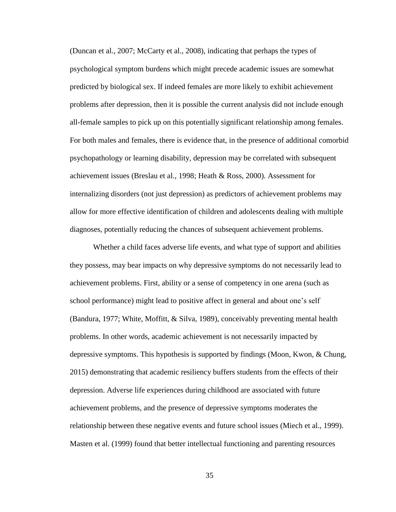(Duncan et al., 2007; McCarty et al., 2008), indicating that perhaps the types of psychological symptom burdens which might precede academic issues are somewhat predicted by biological sex. If indeed females are more likely to exhibit achievement problems after depression, then it is possible the current analysis did not include enough all-female samples to pick up on this potentially significant relationship among females. For both males and females, there is evidence that, in the presence of additional comorbid psychopathology or learning disability, depression may be correlated with subsequent achievement issues (Breslau et al., 1998; Heath & Ross, 2000). Assessment for internalizing disorders (not just depression) as predictors of achievement problems may allow for more effective identification of children and adolescents dealing with multiple diagnoses, potentially reducing the chances of subsequent achievement problems.

Whether a child faces adverse life events, and what type of support and abilities they possess, may bear impacts on why depressive symptoms do not necessarily lead to achievement problems. First, ability or a sense of competency in one arena (such as school performance) might lead to positive affect in general and about one's self (Bandura, 1977; White, Moffitt, & Silva, 1989), conceivably preventing mental health problems. In other words, academic achievement is not necessarily impacted by depressive symptoms. This hypothesis is supported by findings (Moon, Kwon, & Chung, 2015) demonstrating that academic resiliency buffers students from the effects of their depression. Adverse life experiences during childhood are associated with future achievement problems, and the presence of depressive symptoms moderates the relationship between these negative events and future school issues (Miech et al., 1999). Masten et al. (1999) found that better intellectual functioning and parenting resources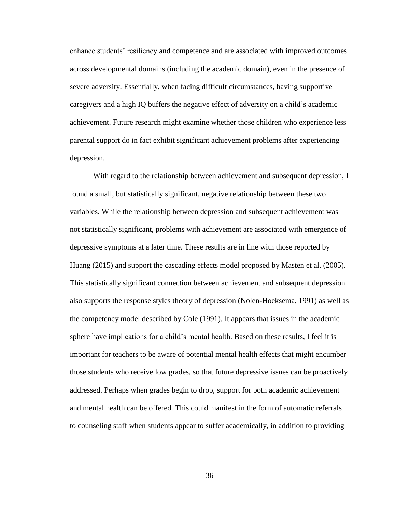enhance students' resiliency and competence and are associated with improved outcomes across developmental domains (including the academic domain), even in the presence of severe adversity. Essentially, when facing difficult circumstances, having supportive caregivers and a high IQ buffers the negative effect of adversity on a child's academic achievement. Future research might examine whether those children who experience less parental support do in fact exhibit significant achievement problems after experiencing depression.

With regard to the relationship between achievement and subsequent depression, I found a small, but statistically significant, negative relationship between these two variables. While the relationship between depression and subsequent achievement was not statistically significant, problems with achievement are associated with emergence of depressive symptoms at a later time. These results are in line with those reported by Huang (2015) and support the cascading effects model proposed by Masten et al. (2005). This statistically significant connection between achievement and subsequent depression also supports the response styles theory of depression (Nolen-Hoeksema, 1991) as well as the competency model described by Cole (1991). It appears that issues in the academic sphere have implications for a child's mental health. Based on these results, I feel it is important for teachers to be aware of potential mental health effects that might encumber those students who receive low grades, so that future depressive issues can be proactively addressed. Perhaps when grades begin to drop, support for both academic achievement and mental health can be offered. This could manifest in the form of automatic referrals to counseling staff when students appear to suffer academically, in addition to providing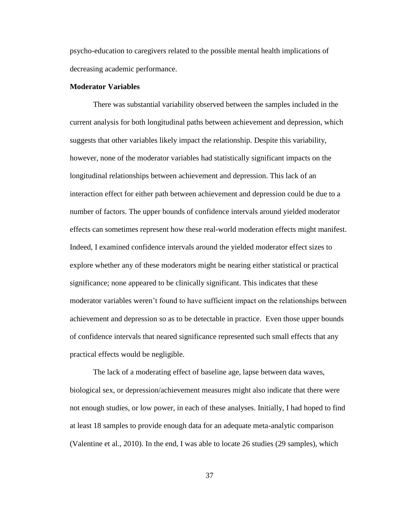psycho-education to caregivers related to the possible mental health implications of decreasing academic performance.

#### **Moderator Variables**

There was substantial variability observed between the samples included in the current analysis for both longitudinal paths between achievement and depression, which suggests that other variables likely impact the relationship. Despite this variability, however, none of the moderator variables had statistically significant impacts on the longitudinal relationships between achievement and depression. This lack of an interaction effect for either path between achievement and depression could be due to a number of factors. The upper bounds of confidence intervals around yielded moderator effects can sometimes represent how these real-world moderation effects might manifest. Indeed, I examined confidence intervals around the yielded moderator effect sizes to explore whether any of these moderators might be nearing either statistical or practical significance; none appeared to be clinically significant. This indicates that these moderator variables weren't found to have sufficient impact on the relationships between achievement and depression so as to be detectable in practice. Even those upper bounds of confidence intervals that neared significance represented such small effects that any practical effects would be negligible.

The lack of a moderating effect of baseline age, lapse between data waves, biological sex, or depression/achievement measures might also indicate that there were not enough studies, or low power, in each of these analyses. Initially, I had hoped to find at least 18 samples to provide enough data for an adequate meta-analytic comparison (Valentine et al., 2010). In the end, I was able to locate 26 studies (29 samples), which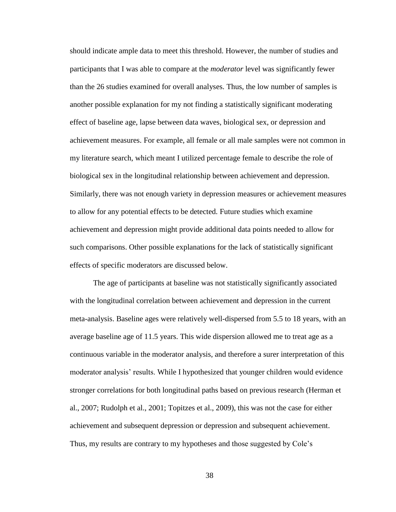should indicate ample data to meet this threshold. However, the number of studies and participants that I was able to compare at the *moderator* level was significantly fewer than the 26 studies examined for overall analyses. Thus, the low number of samples is another possible explanation for my not finding a statistically significant moderating effect of baseline age, lapse between data waves, biological sex, or depression and achievement measures. For example, all female or all male samples were not common in my literature search, which meant I utilized percentage female to describe the role of biological sex in the longitudinal relationship between achievement and depression. Similarly, there was not enough variety in depression measures or achievement measures to allow for any potential effects to be detected. Future studies which examine achievement and depression might provide additional data points needed to allow for such comparisons. Other possible explanations for the lack of statistically significant effects of specific moderators are discussed below.

The age of participants at baseline was not statistically significantly associated with the longitudinal correlation between achievement and depression in the current meta-analysis. Baseline ages were relatively well-dispersed from 5.5 to 18 years, with an average baseline age of 11.5 years. This wide dispersion allowed me to treat age as a continuous variable in the moderator analysis, and therefore a surer interpretation of this moderator analysis' results. While I hypothesized that younger children would evidence stronger correlations for both longitudinal paths based on previous research (Herman et al., 2007; Rudolph et al., 2001; Topitzes et al., 2009), this was not the case for either achievement and subsequent depression or depression and subsequent achievement. Thus, my results are contrary to my hypotheses and those suggested by Cole's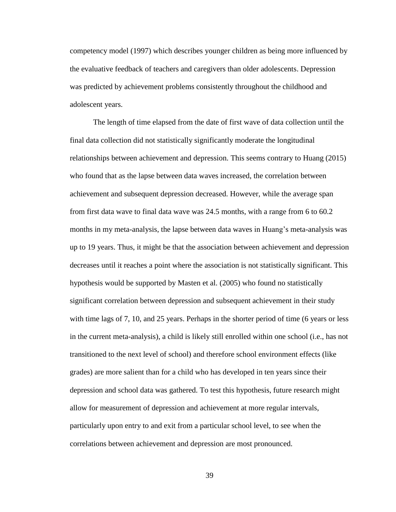competency model (1997) which describes younger children as being more influenced by the evaluative feedback of teachers and caregivers than older adolescents. Depression was predicted by achievement problems consistently throughout the childhood and adolescent years.

The length of time elapsed from the date of first wave of data collection until the final data collection did not statistically significantly moderate the longitudinal relationships between achievement and depression. This seems contrary to Huang (2015) who found that as the lapse between data waves increased, the correlation between achievement and subsequent depression decreased. However, while the average span from first data wave to final data wave was 24.5 months, with a range from 6 to 60.2 months in my meta-analysis, the lapse between data waves in Huang's meta-analysis was up to 19 years. Thus, it might be that the association between achievement and depression decreases until it reaches a point where the association is not statistically significant. This hypothesis would be supported by Masten et al. (2005) who found no statistically significant correlation between depression and subsequent achievement in their study with time lags of 7, 10, and 25 years. Perhaps in the shorter period of time (6 years or less in the current meta-analysis), a child is likely still enrolled within one school (i.e., has not transitioned to the next level of school) and therefore school environment effects (like grades) are more salient than for a child who has developed in ten years since their depression and school data was gathered. To test this hypothesis, future research might allow for measurement of depression and achievement at more regular intervals, particularly upon entry to and exit from a particular school level, to see when the correlations between achievement and depression are most pronounced.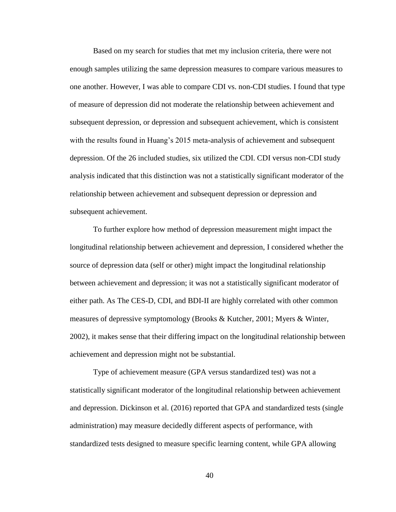Based on my search for studies that met my inclusion criteria, there were not enough samples utilizing the same depression measures to compare various measures to one another. However, I was able to compare CDI vs. non-CDI studies. I found that type of measure of depression did not moderate the relationship between achievement and subsequent depression, or depression and subsequent achievement, which is consistent with the results found in Huang's 2015 meta-analysis of achievement and subsequent depression. Of the 26 included studies, six utilized the CDI. CDI versus non-CDI study analysis indicated that this distinction was not a statistically significant moderator of the relationship between achievement and subsequent depression or depression and subsequent achievement.

To further explore how method of depression measurement might impact the longitudinal relationship between achievement and depression, I considered whether the source of depression data (self or other) might impact the longitudinal relationship between achievement and depression; it was not a statistically significant moderator of either path. As The CES-D, CDI, and BDI-II are highly correlated with other common measures of depressive symptomology (Brooks & Kutcher, 2001; Myers & Winter, 2002), it makes sense that their differing impact on the longitudinal relationship between achievement and depression might not be substantial.

Type of achievement measure (GPA versus standardized test) was not a statistically significant moderator of the longitudinal relationship between achievement and depression. Dickinson et al. (2016) reported that GPA and standardized tests (single administration) may measure decidedly different aspects of performance, with standardized tests designed to measure specific learning content, while GPA allowing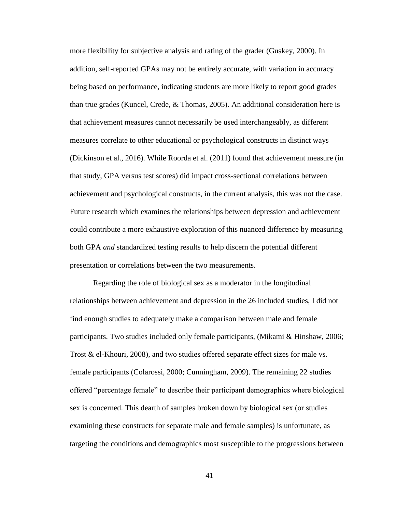more flexibility for subjective analysis and rating of the grader (Guskey, 2000). In addition, self-reported GPAs may not be entirely accurate, with variation in accuracy being based on performance, indicating students are more likely to report good grades than true grades (Kuncel, Crede, & Thomas, 2005). An additional consideration here is that achievement measures cannot necessarily be used interchangeably, as different measures correlate to other educational or psychological constructs in distinct ways (Dickinson et al., 2016). While Roorda et al. (2011) found that achievement measure (in that study, GPA versus test scores) did impact cross-sectional correlations between achievement and psychological constructs, in the current analysis, this was not the case. Future research which examines the relationships between depression and achievement could contribute a more exhaustive exploration of this nuanced difference by measuring both GPA *and* standardized testing results to help discern the potential different presentation or correlations between the two measurements.

Regarding the role of biological sex as a moderator in the longitudinal relationships between achievement and depression in the 26 included studies, I did not find enough studies to adequately make a comparison between male and female participants. Two studies included only female participants, (Mikami & Hinshaw, 2006; Trost & el-Khouri, 2008), and two studies offered separate effect sizes for male vs. female participants (Colarossi, 2000; Cunningham, 2009). The remaining 22 studies offered "percentage female" to describe their participant demographics where biological sex is concerned. This dearth of samples broken down by biological sex (or studies examining these constructs for separate male and female samples) is unfortunate, as targeting the conditions and demographics most susceptible to the progressions between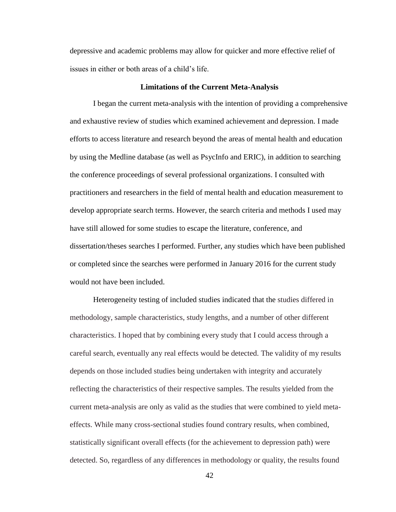depressive and academic problems may allow for quicker and more effective relief of issues in either or both areas of a child's life.

#### **Limitations of the Current Meta-Analysis**

I began the current meta-analysis with the intention of providing a comprehensive and exhaustive review of studies which examined achievement and depression. I made efforts to access literature and research beyond the areas of mental health and education by using the Medline database (as well as PsycInfo and ERIC), in addition to searching the conference proceedings of several professional organizations. I consulted with practitioners and researchers in the field of mental health and education measurement to develop appropriate search terms. However, the search criteria and methods I used may have still allowed for some studies to escape the literature, conference, and dissertation/theses searches I performed. Further, any studies which have been published or completed since the searches were performed in January 2016 for the current study would not have been included.

Heterogeneity testing of included studies indicated that the studies differed in methodology, sample characteristics, study lengths, and a number of other different characteristics. I hoped that by combining every study that I could access through a careful search, eventually any real effects would be detected. The validity of my results depends on those included studies being undertaken with integrity and accurately reflecting the characteristics of their respective samples. The results yielded from the current meta-analysis are only as valid as the studies that were combined to yield metaeffects. While many cross-sectional studies found contrary results, when combined, statistically significant overall effects (for the achievement to depression path) were detected. So, regardless of any differences in methodology or quality, the results found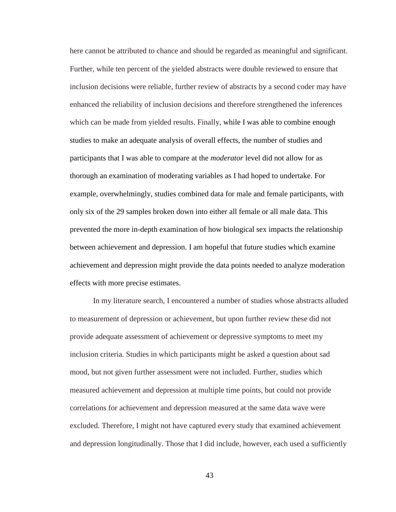here cannot be attributed to chance and should be regarded as meaningful and significant. Further, while ten percent of the yielded abstracts were double reviewed to ensure that inclusion decisions were reliable, further review of abstracts by a second coder may have enhanced the reliability of inclusion decisions and therefore strengthened the inferences which can be made from yielded results. Finally, while I was able to combine enough studies to make an adequate analysis of overall effects, the number of studies and participants that I was able to compare at the *moderator* level did not allow for as thorough an examination of moderating variables as I had hoped to undertake. For example, overwhelmingly, studies combined data for male and female participants, with only six of the 29 samples broken down into either all female or all male data. This prevented the more in-depth examination of how biological sex impacts the relationship between achievement and depression. I am hopeful that future studies which examine achievement and depression might provide the data points needed to analyze moderation effects with more precise estimates.

In my literature search, I encountered a number of studies whose abstracts alluded to measurement of depression or achievement, but upon further review these did not provide adequate assessment of achievement or depressive symptoms to meet my inclusion criteria. Studies in which participants might be asked a question about sad mood, but not given further assessment were not included. Further, studies which measured achievement and depression at multiple time points, but could not provide correlations for achievement and depression measured at the same data wave were excluded. Therefore, I might not have captured every study that examined achievement and depression longitudinally. Those that I did include, however, each used a sufficiently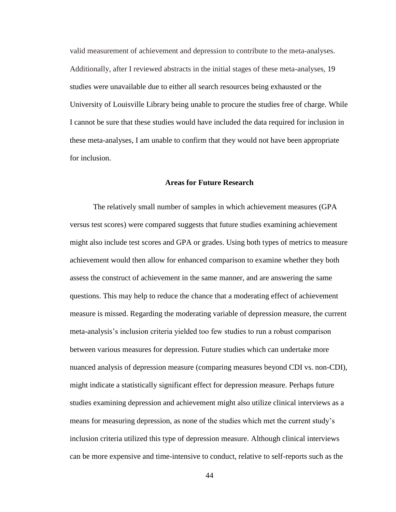valid measurement of achievement and depression to contribute to the meta-analyses. Additionally, after I reviewed abstracts in the initial stages of these meta-analyses, 19 studies were unavailable due to either all search resources being exhausted or the University of Louisville Library being unable to procure the studies free of charge. While I cannot be sure that these studies would have included the data required for inclusion in these meta-analyses, I am unable to confirm that they would not have been appropriate for inclusion.

## **Areas for Future Research**

The relatively small number of samples in which achievement measures (GPA versus test scores) were compared suggests that future studies examining achievement might also include test scores and GPA or grades. Using both types of metrics to measure achievement would then allow for enhanced comparison to examine whether they both assess the construct of achievement in the same manner, and are answering the same questions. This may help to reduce the chance that a moderating effect of achievement measure is missed. Regarding the moderating variable of depression measure, the current meta-analysis's inclusion criteria yielded too few studies to run a robust comparison between various measures for depression. Future studies which can undertake more nuanced analysis of depression measure (comparing measures beyond CDI vs. non-CDI), might indicate a statistically significant effect for depression measure. Perhaps future studies examining depression and achievement might also utilize clinical interviews as a means for measuring depression, as none of the studies which met the current study's inclusion criteria utilized this type of depression measure. Although clinical interviews can be more expensive and time-intensive to conduct, relative to self-reports such as the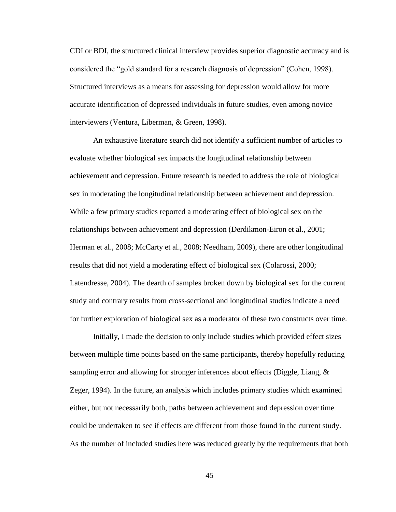CDI or BDI, the structured clinical interview provides superior diagnostic accuracy and is considered the "gold standard for a research diagnosis of depression" (Cohen, 1998). Structured interviews as a means for assessing for depression would allow for more accurate identification of depressed individuals in future studies, even among novice interviewers (Ventura, Liberman, & Green, 1998).

An exhaustive literature search did not identify a sufficient number of articles to evaluate whether biological sex impacts the longitudinal relationship between achievement and depression. Future research is needed to address the role of biological sex in moderating the longitudinal relationship between achievement and depression. While a few primary studies reported a moderating effect of biological sex on the relationships between achievement and depression (Derdikmon-Eiron et al., 2001; Herman et al., 2008; McCarty et al., 2008; Needham, 2009), there are other longitudinal results that did not yield a moderating effect of biological sex (Colarossi, 2000; Latendresse, 2004). The dearth of samples broken down by biological sex for the current study and contrary results from cross-sectional and longitudinal studies indicate a need for further exploration of biological sex as a moderator of these two constructs over time.

Initially, I made the decision to only include studies which provided effect sizes between multiple time points based on the same participants, thereby hopefully reducing sampling error and allowing for stronger inferences about effects (Diggle, Liang, & Zeger, 1994). In the future, an analysis which includes primary studies which examined either, but not necessarily both, paths between achievement and depression over time could be undertaken to see if effects are different from those found in the current study. As the number of included studies here was reduced greatly by the requirements that both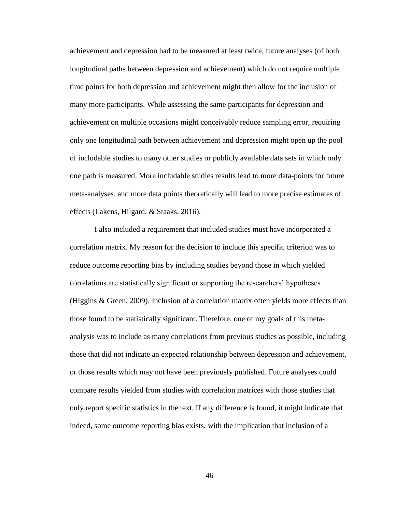achievement and depression had to be measured at least twice, future analyses (of both longitudinal paths between depression and achievement) which do not require multiple time points for both depression and achievement might then allow for the inclusion of many more participants. While assessing the same participants for depression and achievement on multiple occasions might conceivably reduce sampling error, requiring only one longitudinal path between achievement and depression might open up the pool of includable studies to many other studies or publicly available data sets in which only one path is measured. More includable studies results lead to more data-points for future meta-analyses, and more data points theoretically will lead to more precise estimates of effects (Lakens, Hilgard, & Staaks, 2016).

I also included a requirement that included studies must have incorporated a correlation matrix. My reason for the decision to include this specific criterion was to reduce outcome reporting bias by including studies beyond those in which yielded correlations are statistically significant or supporting the researchers' hypotheses (Higgins & Green, 2009). Inclusion of a correlation matrix often yields more effects than those found to be statistically significant. Therefore, one of my goals of this metaanalysis was to include as many correlations from previous studies as possible, including those that did not indicate an expected relationship between depression and achievement, or those results which may not have been previously published. Future analyses could compare results yielded from studies with correlation matrices with those studies that only report specific statistics in the text. If any difference is found, it might indicate that indeed, some outcome reporting bias exists, with the implication that inclusion of a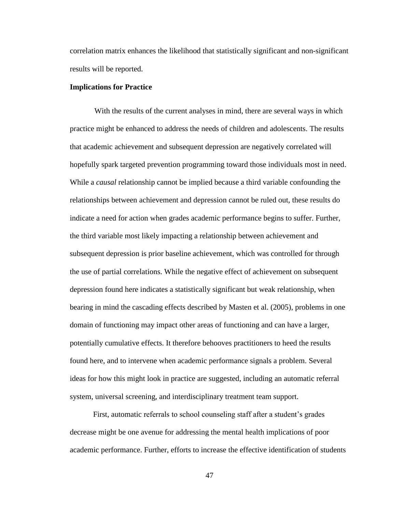correlation matrix enhances the likelihood that statistically significant and non-significant results will be reported.

#### **Implications for Practice**

With the results of the current analyses in mind, there are several ways in which practice might be enhanced to address the needs of children and adolescents. The results that academic achievement and subsequent depression are negatively correlated will hopefully spark targeted prevention programming toward those individuals most in need. While a *causal* relationship cannot be implied because a third variable confounding the relationships between achievement and depression cannot be ruled out, these results do indicate a need for action when grades academic performance begins to suffer. Further, the third variable most likely impacting a relationship between achievement and subsequent depression is prior baseline achievement, which was controlled for through the use of partial correlations. While the negative effect of achievement on subsequent depression found here indicates a statistically significant but weak relationship, when bearing in mind the cascading effects described by Masten et al. (2005), problems in one domain of functioning may impact other areas of functioning and can have a larger, potentially cumulative effects. It therefore behooves practitioners to heed the results found here, and to intervene when academic performance signals a problem. Several ideas for how this might look in practice are suggested, including an automatic referral system, universal screening, and interdisciplinary treatment team support.

First, automatic referrals to school counseling staff after a student's grades decrease might be one avenue for addressing the mental health implications of poor academic performance. Further, efforts to increase the effective identification of students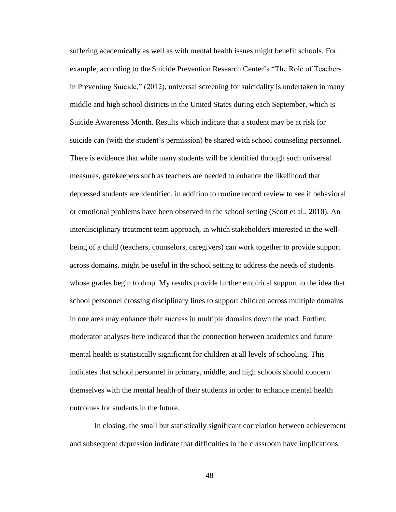suffering academically as well as with mental health issues might benefit schools. For example, according to the Suicide Prevention Research Center's "The Role of Teachers in Preventing Suicide," (2012), universal screening for suicidality is undertaken in many middle and high school districts in the United States during each September, which is Suicide Awareness Month. Results which indicate that a student may be at risk for suicide can (with the student's permission) be shared with school counseling personnel. There is evidence that while many students will be identified through such universal measures, gatekeepers such as teachers are needed to enhance the likelihood that depressed students are identified, in addition to routine record review to see if behavioral or emotional problems have been observed in the school setting (Scott et al., 2010). An interdisciplinary treatment team approach, in which stakeholders interested in the wellbeing of a child (teachers, counselors, caregivers) can work together to provide support across domains, might be useful in the school setting to address the needs of students whose grades begin to drop. My results provide further empirical support to the idea that school personnel crossing disciplinary lines to support children across multiple domains in one area may enhance their success in multiple domains down the road. Further, moderator analyses here indicated that the connection between academics and future mental health is statistically significant for children at all levels of schooling. This indicates that school personnel in primary, middle, and high schools should concern themselves with the mental health of their students in order to enhance mental health outcomes for students in the future.

In closing, the small but statistically significant correlation between achievement and subsequent depression indicate that difficulties in the classroom have implications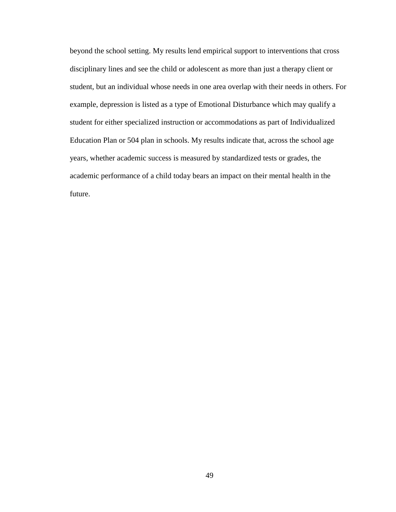beyond the school setting. My results lend empirical support to interventions that cross disciplinary lines and see the child or adolescent as more than just a therapy client or student, but an individual whose needs in one area overlap with their needs in others. For example, depression is listed as a type of Emotional Disturbance which may qualify a student for either specialized instruction or accommodations as part of Individualized Education Plan or 504 plan in schools. My results indicate that, across the school age years, whether academic success is measured by standardized tests or grades, the academic performance of a child today bears an impact on their mental health in the future.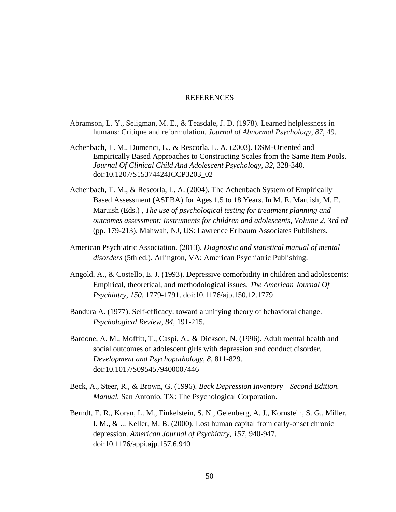### **REFERENCES**

- Abramson, L. Y., Seligman, M. E., & Teasdale, J. D. (1978). Learned helplessness in humans: Critique and reformulation. *Journal of Abnormal Psychology*, *87*, 49.
- Achenbach, T. M., Dumenci, L., & Rescorla, L. A. (2003). DSM-Oriented and Empirically Based Approaches to Constructing Scales from the Same Item Pools. *Journal Of Clinical Child And Adolescent Psychology*, *32*, 328-340. doi:10.1207/S15374424JCCP3203\_02
- Achenbach, T. M., & Rescorla, L. A. (2004). The Achenbach System of Empirically Based Assessment (ASEBA) for Ages 1.5 to 18 Years. In M. E. Maruish, M. E. Maruish (Eds.) , *The use of psychological testing for treatment planning and outcomes assessment: Instruments for children and adolescents, Volume 2, 3rd ed* (pp. 179-213). Mahwah, NJ, US: Lawrence Erlbaum Associates Publishers.
- American Psychiatric Association. (2013). *Diagnostic and statistical manual of mental disorders* (5th ed.). Arlington, VA: American Psychiatric Publishing.
- Angold, A., & Costello, E. J. (1993). Depressive comorbidity in children and adolescents: Empirical, theoretical, and methodological issues. *The American Journal Of Psychiatry*, *150*, 1779-1791. doi:10.1176/ajp.150.12.1779
- Bandura A. (1977). Self-efficacy: toward a unifying theory of behavioral change. *Psychological Review*, *84*, 191-215.
- Bardone, A. M., Moffitt, T., Caspi, A., & Dickson, N. (1996). Adult mental health and social outcomes of adolescent girls with depression and conduct disorder. *Development and Psychopathology*, *8*, 811-829. doi:10.1017/S0954579400007446
- Beck, A., Steer, R., & Brown, G. (1996). *Beck Depression Inventory—Second Edition. Manual.* San Antonio, TX: The Psychological Corporation.
- Berndt, E. R., Koran, L. M., Finkelstein, S. N., Gelenberg, A. J., Kornstein, S. G., Miller, I. M., & ... Keller, M. B. (2000). Lost human capital from early-onset chronic depression. *American Journal of Psychiatry*, *157*, 940-947. doi:10.1176/appi.ajp.157.6.940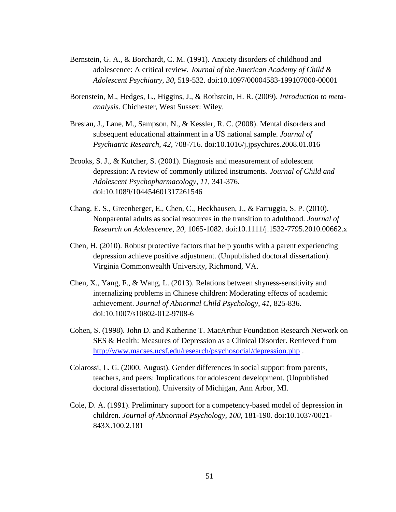- Bernstein, G. A., & Borchardt, C. M. (1991). Anxiety disorders of childhood and adolescence: A critical review. *Journal of the American Academy of Child & Adolescent Psychiatry*, *30*, 519-532. doi:10.1097/00004583-199107000-00001
- Borenstein, M., Hedges, L., Higgins, J., & Rothstein, H. R. (2009). *Introduction to metaanalysis*. Chichester, West Sussex: Wiley.
- Breslau, J., Lane, M., Sampson, N., & Kessler, R. C. (2008). Mental disorders and subsequent educational attainment in a US national sample. *Journal of Psychiatric Research*, *42*, 708-716. doi:10.1016/j.jpsychires.2008.01.016
- Brooks, S. J., & Kutcher, S. (2001). Diagnosis and measurement of adolescent depression: A review of commonly utilized instruments. *Journal of Child and Adolescent Psychopharmacology*, *11*, 341-376. doi:10.1089/104454601317261546
- Chang, E. S., Greenberger, E., Chen, C., Heckhausen, J., & Farruggia, S. P. (2010). Nonparental adults as social resources in the transition to adulthood. *Journal of Research on Adolescence*, *20*, 1065-1082. doi:10.1111/j.1532-7795.2010.00662.x
- Chen, H. (2010). Robust protective factors that help youths with a parent experiencing depression achieve positive adjustment. (Unpublished doctoral dissertation). Virginia Commonwealth University, Richmond, VA.
- Chen, X., Yang, F., & Wang, L. (2013). Relations between shyness-sensitivity and internalizing problems in Chinese children: Moderating effects of academic achievement. *Journal of Abnormal Child Psychology*, *41*, 825-836. doi:10.1007/s10802-012-9708-6
- Cohen, S. (1998). John D. and Katherine T. MacArthur Foundation Research Network on SES & Health: Measures of Depression as a Clinical Disorder. Retrieved from <http://www.macses.ucsf.edu/research/psychosocial/depression.php> .
- Colarossi, L. G. (2000, August). Gender differences in social support from parents, teachers, and peers: Implications for adolescent development. (Unpublished doctoral dissertation). University of Michigan, Ann Arbor, MI.
- Cole, D. A. (1991). Preliminary support for a competency-based model of depression in children. *Journal of Abnormal Psychology*, *100*, 181-190. doi:10.1037/0021- 843X.100.2.181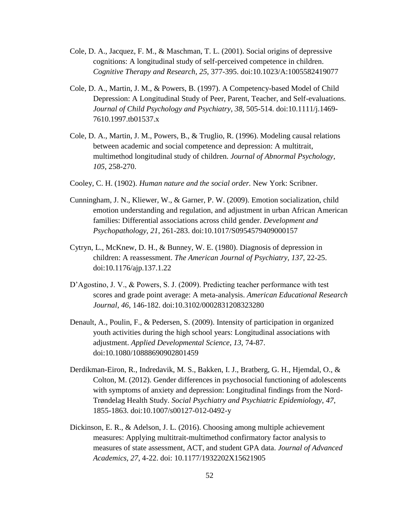- Cole, D. A., Jacquez, F. M., & Maschman, T. L. (2001). Social origins of depressive cognitions: A longitudinal study of self-perceived competence in children. *Cognitive Therapy and Research*, *25*, 377-395. doi:10.1023/A:1005582419077
- Cole, D. A., Martin, J. M., & Powers, B. (1997). A Competency-based Model of Child Depression: A Longitudinal Study of Peer, Parent, Teacher, and Self-evaluations. *Journal of Child Psychology and Psychiatry*, *38*, 505-514. doi:10.1111/j.1469- 7610.1997.tb01537.x
- Cole, D. A., Martin, J. M., Powers, B., & Truglio, R. (1996). Modeling causal relations between academic and social competence and depression: A multitrait, multimethod longitudinal study of children. *Journal of Abnormal Psychology*, *105*, 258-270.
- Cooley, C. H. (1902). *Human nature and the social order.* New York: Scribner.
- Cunningham, J. N., Kliewer, W., & Garner, P. W. (2009). Emotion socialization, child emotion understanding and regulation, and adjustment in urban African American families: Differential associations across child gender. *Development and Psychopathology*, *21*, 261-283. doi:10.1017/S0954579409000157
- Cytryn, L., McKnew, D. H., & Bunney, W. E. (1980). Diagnosis of depression in children: A reassessment. *The American Journal of Psychiatry*, *137*, 22-25. doi:10.1176/ajp.137.1.22
- D'Agostino, J. V., & Powers, S. J. (2009). Predicting teacher performance with test scores and grade point average: A meta-analysis. *American Educational Research Journal*, *46*, 146-182. doi:10.3102/0002831208323280
- Denault, A., Poulin, F., & Pedersen, S. (2009). Intensity of participation in organized youth activities during the high school years: Longitudinal associations with adjustment. *Applied Developmental Science*, *13*, 74-87. doi:10.1080/10888690902801459
- Derdikman-Eiron, R., Indredavik, M. S., Bakken, I. J., Bratberg, G. H., Hjemdal, O., & Colton, M. (2012). Gender differences in psychosocial functioning of adolescents with symptoms of anxiety and depression: Longitudinal findings from the Nord-Trøndelag Health Study. *Social Psychiatry and Psychiatric Epidemiology*, *47*, 1855-1863. doi:10.1007/s00127-012-0492-y
- Dickinson, E. R., & Adelson, J. L. (2016). Choosing among multiple achievement measures: Applying multitrait-multimethod confirmatory factor analysis to measures of state assessment, ACT, and student GPA data. *Journal of Advanced Academics, 27*, 4-22. doi: 10.1177/1932202X15621905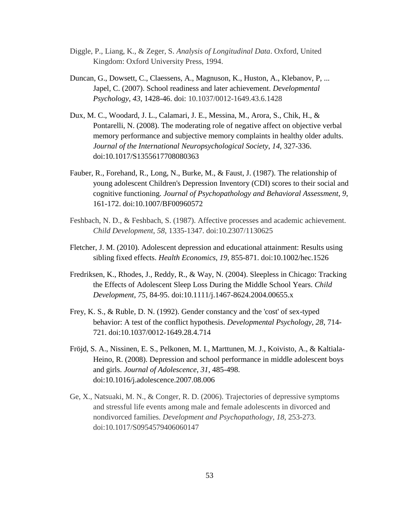- Diggle, P., Liang, K., & Zeger, S. *Analysis of Longitudinal Data*. Oxford, United Kingdom: Oxford University Press, 1994.
- Duncan, G., Dowsett, C., Claessens, A., Magnuson, K., Huston, A., Klebanov, P, ... Japel, C. (2007). School readiness and later achievement. *Developmental Psychology*, *43*, 1428-46. doi: 10.1037/0012-1649.43.6.1428
- Dux, M. C., Woodard, J. L., Calamari, J. E., Messina, M., Arora, S., Chik, H., & Pontarelli, N. (2008). The moderating role of negative affect on objective verbal memory performance and subjective memory complaints in healthy older adults. *Journal of the International Neuropsychological Society*, *14*, 327-336. doi:10.1017/S1355617708080363
- Fauber, R., Forehand, R., Long, N., Burke, M., & Faust, J. (1987). The relationship of young adolescent Children's Depression Inventory (CDI) scores to their social and cognitive functioning. *Journal of Psychopathology and Behavioral Assessment*, *9*, 161-172. doi:10.1007/BF00960572
- Feshbach, N. D., & Feshbach, S. (1987). Affective processes and academic achievement. *Child Development*, *58*, 1335-1347. doi:10.2307/1130625
- Fletcher, J. M. (2010). Adolescent depression and educational attainment: Results using sibling fixed effects. *Health Economics*, *19*, 855-871. doi:10.1002/hec.1526
- Fredriksen, K., Rhodes, J., Reddy, R., & Way, N. (2004). Sleepless in Chicago: Tracking the Effects of Adolescent Sleep Loss During the Middle School Years. *Child Development*, *75*, 84-95. doi:10.1111/j.1467-8624.2004.00655.x
- Frey, K. S., & Ruble, D. N. (1992). Gender constancy and the 'cost' of sex-typed behavior: A test of the conflict hypothesis. *Developmental Psychology*, *28*, 714- 721. doi:10.1037/0012-1649.28.4.714
- Fröjd, S. A., Nissinen, E. S., Pelkonen, M. I., Marttunen, M. J., Koivisto, A., & Kaltiala-Heino, R. (2008). Depression and school performance in middle adolescent boys and girls. *Journal of Adolescence*, *31*, 485-498. doi:10.1016/j.adolescence.2007.08.006
- Ge, X., Natsuaki, M. N., & Conger, R. D. (2006). Trajectories of depressive symptoms and stressful life events among male and female adolescents in divorced and nondivorced families. *Development and Psychopathology*, *18*, 253-273. doi:10.1017/S0954579406060147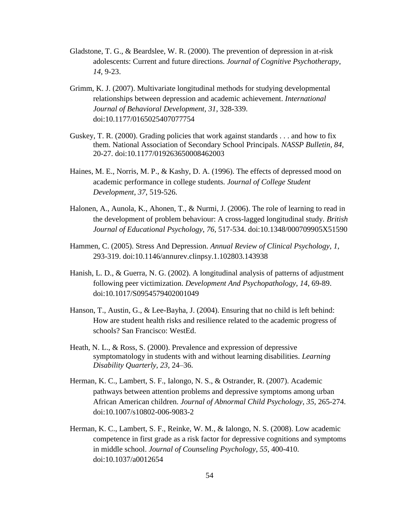- Gladstone, T. G., & Beardslee, W. R. (2000). The prevention of depression in at-risk adolescents: Current and future directions. *Journal of Cognitive Psychotherapy*, *14*, 9-23.
- Grimm, K. J. (2007). Multivariate longitudinal methods for studying developmental relationships between depression and academic achievement. *International Journal of Behavioral Development*, *31*, 328-339. doi:10.1177/0165025407077754
- Guskey, T. R. (2000). Grading policies that work against standards . . . and how to fix them. National Association of Secondary School Principals. *NASSP Bulletin*, *84*, 20-27. doi:10.1177/019263650008462003
- Haines, M. E., Norris, M. P., & Kashy, D. A. (1996). The effects of depressed mood on academic performance in college students. *Journal of College Student Development*, *37*, 519-526.
- Halonen, A., Aunola, K., Ahonen, T., & Nurmi, J. (2006). The role of learning to read in the development of problem behaviour: A cross-lagged longitudinal study. *British Journal of Educational Psychology*, *76*, 517-534. doi:10.1348/000709905X51590
- Hammen, C. (2005). Stress And Depression. *Annual Review of Clinical Psychology*, *1*, 293-319. doi:10.1146/annurev.clinpsy.1.102803.143938
- Hanish, L. D., & Guerra, N. G. (2002). A longitudinal analysis of patterns of adjustment following peer victimization. *Development And Psychopathology*, *14*, 69-89. doi:10.1017/S0954579402001049
- Hanson, T., Austin, G., & Lee-Bayha, J. (2004). Ensuring that no child is left behind: How are student health risks and resilience related to the academic progress of schools? San Francisco: WestEd.
- Heath, N. L., & Ross, S. (2000). Prevalence and expression of depressive symptomatology in students with and without learning disabilities. *Learning Disability Quarterly, 23,* 24–36.
- Herman, K. C., Lambert, S. F., Ialongo, N. S., & Ostrander, R. (2007). Academic pathways between attention problems and depressive symptoms among urban African American children. *Journal of Abnormal Child Psychology*, *35*, 265-274. doi:10.1007/s10802-006-9083-2
- Herman, K. C., Lambert, S. F., Reinke, W. M., & Ialongo, N. S. (2008). Low academic competence in first grade as a risk factor for depressive cognitions and symptoms in middle school. *Journal of Counseling Psychology*, *55*, 400-410. doi:10.1037/a0012654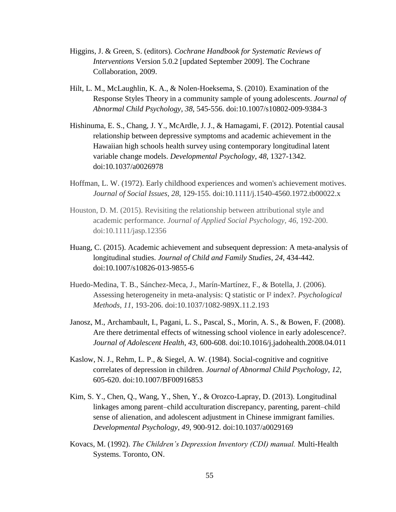- Higgins, J. & Green, S. (editors). *Cochrane Handbook for Systematic Reviews of Interventions* Version 5.0.2 [updated September 2009]. The Cochrane Collaboration, 2009.
- Hilt, L. M., McLaughlin, K. A., & Nolen-Hoeksema, S. (2010). Examination of the Response Styles Theory in a community sample of young adolescents. *Journal of Abnormal Child Psychology*, *38*, 545-556. doi:10.1007/s10802-009-9384-3
- Hishinuma, E. S., Chang, J. Y., McArdle, J. J., & Hamagami, F. (2012). Potential causal relationship between depressive symptoms and academic achievement in the Hawaiian high schools health survey using contemporary longitudinal latent variable change models. *Developmental Psychology*, *48*, 1327-1342. doi:10.1037/a0026978
- Hoffman, L. W. (1972). Early childhood experiences and women's achievement motives. *Journal of Social Issues*, *28*, 129-155. doi:10.1111/j.1540-4560.1972.tb00022.x
- Houston, D. M. (2015). Revisiting the relationship between attributional style and academic performance. *Journal of Applied Social Psychology, 46*, 192-200. doi:10.1111/jasp.12356
- Huang, C. (2015). Academic achievement and subsequent depression: A meta-analysis of longitudinal studies. *Journal of Child and Family Studies*, *24*, 434-442. doi:10.1007/s10826-013-9855-6
- Huedo-Medina, T. B., Sánchez-Meca, J., Marín-Martínez, F., & Botella, J. (2006). Assessing heterogeneity in meta-analysis: Q statistic or I² index?. *Psychological Methods*, *11*, 193-206. doi:10.1037/1082-989X.11.2.193
- Janosz, M., Archambault, I., Pagani, L. S., Pascal, S., Morin, A. S., & Bowen, F. (2008). Are there detrimental effects of witnessing school violence in early adolescence?. *Journal of Adolescent Health*, *43*, 600-608. doi:10.1016/j.jadohealth.2008.04.011
- Kaslow, N. J., Rehm, L. P., & Siegel, A. W. (1984). Social-cognitive and cognitive correlates of depression in children. *Journal of Abnormal Child Psychology*, *12*, 605-620. doi:10.1007/BF00916853
- Kim, S. Y., Chen, Q., Wang, Y., Shen, Y., & Orozco-Lapray, D. (2013). Longitudinal linkages among parent–child acculturation discrepancy, parenting, parent–child sense of alienation, and adolescent adjustment in Chinese immigrant families. *Developmental Psychology*, *49*, 900-912. doi:10.1037/a0029169
- Kovacs, M. (1992). *The Children's Depression Inventory (CDI) manual.* Multi-Health Systems. Toronto, ON.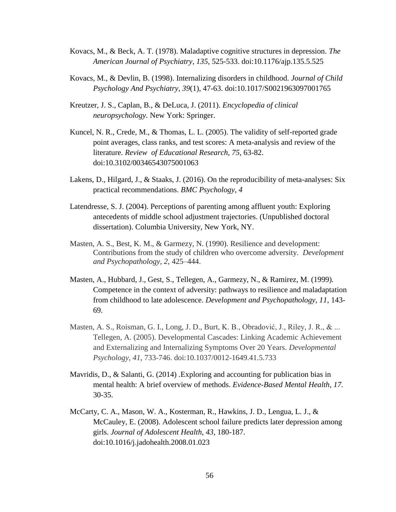- Kovacs, M., & Beck, A. T. (1978). Maladaptive cognitive structures in depression. *The American Journal of Psychiatry*, *135*, 525-533. doi:10.1176/ajp.135.5.525
- Kovacs, M., & Devlin, B. (1998). Internalizing disorders in childhood. *Journal of Child Psychology And Psychiatry*, *39*(1), 47-63. doi:10.1017/S0021963097001765
- Kreutzer, J. S., Caplan, B., & DeLuca, J. (2011). *Encyclopedia of clinical neuropsychology.* New York: Springer.
- Kuncel, N. R., Crede, M., & Thomas, L. L. (2005). The validity of self-reported grade point averages, class ranks, and test scores: A meta-analysis and review of the literature. *Review of Educational Research*, *75*, 63-82. doi:10.3102/00346543075001063
- Lakens, D., Hilgard, J., & Staaks, J. (2016). On the reproducibility of meta-analyses: Six practical recommendations. *BMC Psychology*, *4*
- Latendresse, S. J. (2004). Perceptions of parenting among affluent youth: Exploring antecedents of middle school adjustment trajectories. (Unpublished doctoral dissertation). Columbia University, New York, NY.
- Masten, A. S., Best, K. M., & Garmezy, N. (1990). Resilience and development: Contributions from the study of children who overcome adversity. *Development and Psychopathology, 2*, 425–444.
- Masten, A., Hubbard, J., Gest, S., Tellegen, A., Garmezy, N., & Ramirez, M. (1999). Competence in the context of adversity: pathways to resilience and maladaptation from childhood to late adolescence. *Development and Psychopathology*, *11*, 143- 69.
- Masten, A. S., Roisman, G. I., Long, J. D., Burt, K. B., Obradović, J., Riley, J. R., & ... Tellegen, A. (2005). Developmental Cascades: Linking Academic Achievement and Externalizing and Internalizing Symptoms Over 20 Years. *Developmental Psychology*, *41*, 733-746. doi:10.1037/0012-1649.41.5.733
- Mavridis, D., & Salanti, G. (2014) *.*Exploring and accounting for publication bias in mental health: A brief overview of methods. *Evidence-Based Mental Health, 17.*  30-35.
- McCarty, C. A., Mason, W. A., Kosterman, R., Hawkins, J. D., Lengua, L. J., & McCauley, E. (2008). Adolescent school failure predicts later depression among girls. *Journal of Adolescent Health*, *43*, 180-187. doi:10.1016/j.jadohealth.2008.01.023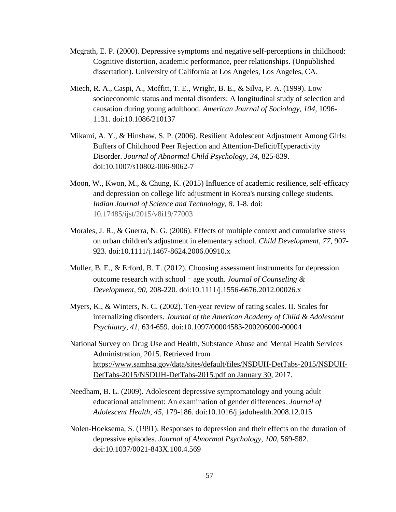- Mcgrath, E. P. (2000). Depressive symptoms and negative self-perceptions in childhood: Cognitive distortion, academic performance, peer relationships. (Unpublished dissertation). University of California at Los Angeles, Los Angeles, CA.
- Miech, R. A., Caspi, A., Moffitt, T. E., Wright, B. E., & Silva, P. A. (1999). Low socioeconomic status and mental disorders: A longitudinal study of selection and causation during young adulthood. *American Journal of Sociology*, *104*, 1096- 1131. doi:10.1086/210137
- Mikami, A. Y., & Hinshaw, S. P. (2006). Resilient Adolescent Adjustment Among Girls: Buffers of Childhood Peer Rejection and Attention-Deficit/Hyperactivity Disorder. *Journal of Abnormal Child Psychology*, *34*, 825-839. doi:10.1007/s10802-006-9062-7
- Moon, W., Kwon, M., & Chung, K. (2015) Influence of academic resilience, self-efficacy and depression on college life adjustment in Korea's nursing college students. *Indian Journal of Science and Technology, 8*. 1-8. doi: 10.17485/ijst/2015/v8i19/77003
- Morales, J. R., & Guerra, N. G. (2006). Effects of multiple context and cumulative stress on urban children's adjustment in elementary school. *Child Development*, *77*, 907- 923. doi:10.1111/j.1467-8624.2006.00910.x
- Muller, B. E., & Erford, B. T. (2012). Choosing assessment instruments for depression outcome research with school‐age youth. *Journal of Counseling & Development*, *90*, 208-220. doi:10.1111/j.1556-6676.2012.00026.x
- Myers, K., & Winters, N. C. (2002). Ten-year review of rating scales. II. Scales for internalizing disorders. *Journal of the American Academy of Child & Adolescent Psychiatry*, *41*, 634-659. doi:10.1097/00004583-200206000-00004
- National Survey on Drug Use and Health, Substance Abuse and Mental Health Services Administration, 2015. Retrieved from [https://www.samhsa.gov/data/sites/default/files/NSDUH-DetTabs-2015/NSDUH-](https://www.samhsa.gov/data/sites/default/files/NSDUH-DetTabs-2015/NSDUH-DetTabs-2015/NSDUH-DetTabs-2015.pdf%20on%20January%2030)[DetTabs-2015/NSDUH-DetTabs-2015.pdf on January 30,](https://www.samhsa.gov/data/sites/default/files/NSDUH-DetTabs-2015/NSDUH-DetTabs-2015/NSDUH-DetTabs-2015.pdf%20on%20January%2030) 2017.
- Needham, B. L. (2009). Adolescent depressive symptomatology and young adult educational attainment: An examination of gender differences. *Journal of Adolescent Health*, *45*, 179-186. doi:10.1016/j.jadohealth.2008.12.015
- Nolen-Hoeksema, S. (1991). Responses to depression and their effects on the duration of depressive episodes. *Journal of Abnormal Psychology*, *100*, 569-582. doi:10.1037/0021-843X.100.4.569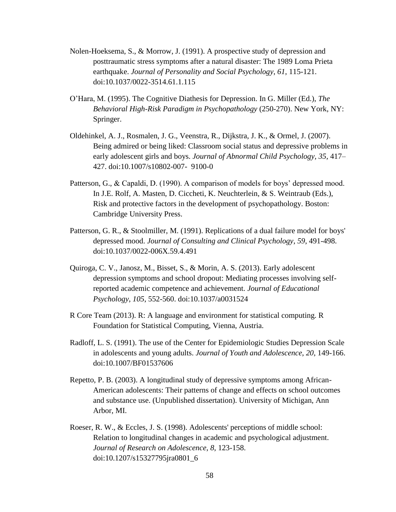- Nolen-Hoeksema, S., & Morrow, J. (1991). A prospective study of depression and posttraumatic stress symptoms after a natural disaster: The 1989 Loma Prieta earthquake. *Journal of Personality and Social Psychology*, *61*, 115-121. doi:10.1037/0022-3514.61.1.115
- O'Hara, M. (1995). The Cognitive Diathesis for Depression. In G. Miller (Ed.), *The Behavioral High-Risk Paradigm in Psychopathology* (250-270). New York, NY: Springer.
- Oldehinkel, A. J., Rosmalen, J. G., Veenstra, R., Dijkstra, J. K., & Ormel, J. (2007). Being admired or being liked: Classroom social status and depressive problems in early adolescent girls and boys. *Journal of Abnormal Child Psychology, 35,* 417– 427. doi:10.1007/s10802-007- 9100-0
- Patterson, G., & Capaldi, D. (1990). A comparison of models for boys' depressed mood. In J.E. Rolf, A. Masten, D. Ciccheti, K. Neuchterlein, & S. Weintraub (Eds.), Risk and protective factors in the development of psychopathology. Boston: Cambridge University Press.
- Patterson, G. R., & Stoolmiller, M. (1991). Replications of a dual failure model for boys' depressed mood. *Journal of Consulting and Clinical Psychology*, *59*, 491-498. doi:10.1037/0022-006X.59.4.491
- Quiroga, C. V., Janosz, M., Bisset, S., & Morin, A. S. (2013). Early adolescent depression symptoms and school dropout: Mediating processes involving selfreported academic competence and achievement. *Journal of Educational Psychology*, *105*, 552-560. doi:10.1037/a0031524
- R Core Team (2013). R: A language and environment for statistical computing. R Foundation for Statistical Computing, Vienna, Austria.
- Radloff, L. S. (1991). The use of the Center for Epidemiologic Studies Depression Scale in adolescents and young adults. *Journal of Youth and Adolescence*, *20*, 149-166. doi:10.1007/BF01537606
- Repetto, P. B. (2003). A longitudinal study of depressive symptoms among African-American adolescents: Their patterns of change and effects on school outcomes and substance use. (Unpublished dissertation). University of Michigan, Ann Arbor, MI.
- Roeser, R. W., & Eccles, J. S. (1998). Adolescents' perceptions of middle school: Relation to longitudinal changes in academic and psychological adjustment. *Journal of Research on Adolescence*, *8*, 123-158. doi:10.1207/s15327795jra0801\_6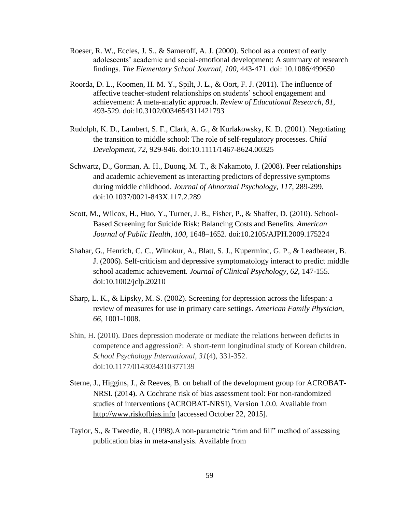- Roeser, R. W., Eccles, J. S., & Sameroff, A. J. (2000). School as a context of early adolescents' academic and social-emotional development: A summary of research findings. *The Elementary School Journal*, *100*, 443-471. doi: 10.1086/499650
- Roorda, D. L., Koomen, H. M. Y., Spilt, J. L., & Oort, F. J. (2011). The influence of affective teacher-student relationships on students' school engagement and achievement: A meta-analytic approach. *Review of Educational Research*, *81*, 493-529. doi:10.3102/0034654311421793
- Rudolph, K. D., Lambert, S. F., Clark, A. G., & Kurlakowsky, K. D. (2001). Negotiating the transition to middle school: The role of self-regulatory processes. *Child Development*, *72*, 929-946. doi:10.1111/1467-8624.00325
- Schwartz, D., Gorman, A. H., Duong, M. T., & Nakamoto, J. (2008). Peer relationships and academic achievement as interacting predictors of depressive symptoms during middle childhood. *Journal of Abnormal Psychology*, *117*, 289-299. doi:10.1037/0021-843X.117.2.289
- Scott, M., Wilcox, H., Huo, Y., Turner, J. B., Fisher, P., & Shaffer, D. (2010). School-Based Screening for Suicide Risk: Balancing Costs and Benefits. *American Journal of Public Health*, *100*, 1648–1652. doi:10.2105/AJPH.2009.175224
- Shahar, G., Henrich, C. C., Winokur, A., Blatt, S. J., Kuperminc, G. P., & Leadbeater, B. J. (2006). Self-criticism and depressive symptomatology interact to predict middle school academic achievement. *Journal of Clinical Psychology*, *62*, 147-155. doi:10.1002/jclp.20210
- Sharp, L. K., & Lipsky, M. S. (2002). Screening for depression across the lifespan: a review of measures for use in primary care settings. *American Family Physician*, *66*, 1001-1008.
- Shin, H. (2010). Does depression moderate or mediate the relations between deficits in competence and aggression?: A short-term longitudinal study of Korean children. *School Psychology International*, *31*(4), 331-352. doi:10.1177/0143034310377139
- Sterne, J., Higgins, J., & Reeves, B. on behalf of the development group for ACROBAT-NRSI. (2014). A Cochrane risk of bias assessment tool: For non-randomized studies of interventions (ACROBAT-NRSI), Version 1.0.0. Available from [http://www.riskofbias.info](http://www.riskofbias.info/) [accessed October 22, 2015].
- Taylor, S., & Tweedie, R. (1998).A non-parametric "trim and fill" method of assessing publication bias in meta-analysis. Available from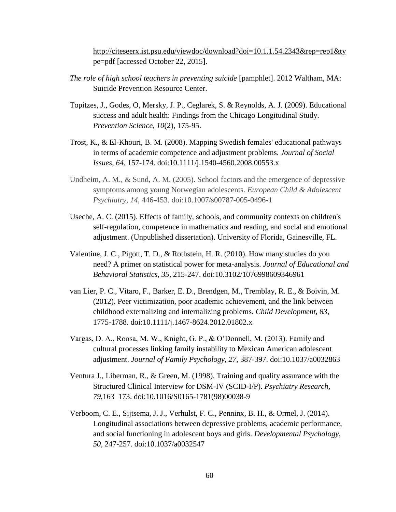[http://citeseerx.ist.psu.edu/viewdoc/download?doi=10.1.1.54.2343&rep=rep1&ty](http://citeseerx.ist.psu.edu/viewdoc/download?doi=10.1.1.54.2343&rep=rep1&type=pdf) [pe=pdf](http://citeseerx.ist.psu.edu/viewdoc/download?doi=10.1.1.54.2343&rep=rep1&type=pdf) [accessed October 22, 2015].

- *The role of high school teachers in preventing suicide* [pamphlet]. 2012 Waltham, MA: Suicide Prevention Resource Center.
- Topitzes, J., Godes, O, Mersky, J. P., Ceglarek, S. & Reynolds, A. J. (2009). [Educational](http://www.springerlink.com/content/a83757514826m518)  [success and adult health: Findings from the Chicago Longitudinal Study.](http://www.springerlink.com/content/a83757514826m518) *Prevention Science, 10*(2), 175-95.
- Trost, K., & El-Khouri, B. M. (2008). Mapping Swedish females' educational pathways in terms of academic competence and adjustment problems. *Journal of Social Issues*, *64*, 157-174. doi:10.1111/j.1540-4560.2008.00553.x
- Undheim, A. M., & Sund, A. M. (2005). School factors and the emergence of depressive symptoms among young Norwegian adolescents. *European Child & Adolescent Psychiatry*, *14*, 446-453. doi:10.1007/s00787-005-0496-1
- Useche, A. C. (2015). Effects of family, schools, and community contexts on children's self-regulation, competence in mathematics and reading, and social and emotional adjustment. (Unpublished dissertation). University of Florida, Gainesville, FL.
- Valentine, J. C., Pigott, T. D., & Rothstein, H. R. (2010). How many studies do you need? A primer on statistical power for meta-analysis. *Journal of Educational and Behavioral Statistics*, *35*, 215-247. doi:10.3102/1076998609346961
- van Lier, P. C., Vitaro, F., Barker, E. D., Brendgen, M., Tremblay, R. E., & Boivin, M. (2012). Peer victimization, poor academic achievement, and the link between childhood externalizing and internalizing problems. *Child Development*, *83*, 1775-1788. doi:10.1111/j.1467-8624.2012.01802.x
- Vargas, D. A., Roosa, M. W., Knight, G. P., & O'Donnell, M. (2013). Family and cultural processes linking family instability to Mexican American adolescent adjustment. *Journal of Family Psychology*, *27*, 387-397. doi:10.1037/a0032863
- Ventura J., Liberman, R., & Green, M. (1998). Training and quality assurance with the Structured Clinical Interview for DSM-IV (SCID-I/P). *Psychiatry Research, 79,*163–173. doi:10.1016/S0165-1781(98)00038-9
- Verboom, C. E., Sijtsema, J. J., Verhulst, F. C., Penninx, B. H., & Ormel, J. (2014). Longitudinal associations between depressive problems, academic performance, and social functioning in adolescent boys and girls. *Developmental Psychology*, *50*, 247-257. doi:10.1037/a0032547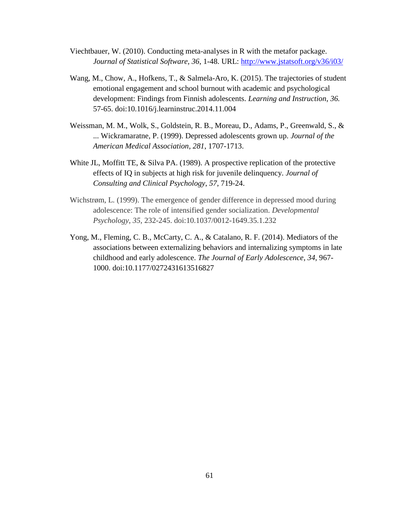- Viechtbauer, W. (2010). Conducting meta-analyses in R with the metafor package. *Journal of Statistical Software, 36*, 1-48. URL:<http://www.jstatsoft.org/v36/i03/>
- Wang, M., Chow, A., Hofkens, T., & Salmela-Aro, K. (2015). The trajectories of student emotional engagement and school burnout with academic and psychological development: Findings from Finnish adolescents. *Learning and Instruction*, *36.*  57-65. doi:10.1016/j.learninstruc.2014.11.004
- Weissman, M. M., Wolk, S., Goldstein, R. B., Moreau, D., Adams, P., Greenwald, S., & ... Wickramaratne, P. (1999). Depressed adolescents grown up. *Journal of the American Medical Association*, *281*, 1707-1713.
- White JL, Moffitt TE, & Silva PA. (1989). A prospective replication of the protective effects of IQ in subjects at high risk for juvenile delinquency. *Journal of Consulting and Clinical Psychology*, *57*, 719-24.
- Wichstrøm, L. (1999). The emergence of gender difference in depressed mood during adolescence: The role of intensified gender socialization. *Developmental Psychology*, *35*, 232-245. doi:10.1037/0012-1649.35.1.232
- Yong, M., Fleming, C. B., McCarty, C. A., & Catalano, R. F. (2014). Mediators of the associations between externalizing behaviors and internalizing symptoms in late childhood and early adolescence. *The Journal of Early Adolescence*, *34*, 967- 1000. doi:10.1177/0272431613516827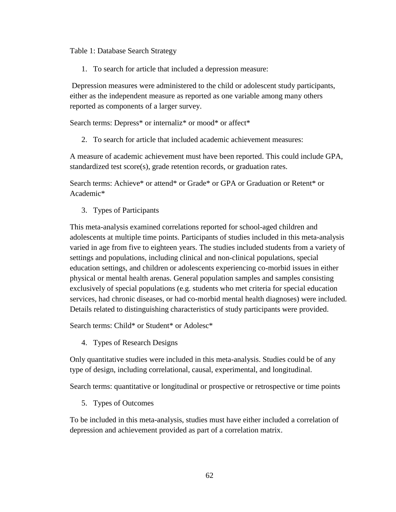Table 1: Database Search Strategy

1. To search for article that included a depression measure:

Depression measures were administered to the child or adolescent study participants, either as the independent measure as reported as one variable among many others reported as components of a larger survey.

Search terms: Depress\* or internaliz\* or mood\* or affect\*

2. To search for article that included academic achievement measures:

A measure of academic achievement must have been reported. This could include GPA, standardized test score(s), grade retention records, or graduation rates.

Search terms: Achieve\* or attend\* or Grade\* or GPA or Graduation or Retent\* or Academic\*

3. Types of Participants

This meta-analysis examined correlations reported for school-aged children and adolescents at multiple time points. Participants of studies included in this meta-analysis varied in age from five to eighteen years. The studies included students from a variety of settings and populations, including clinical and non-clinical populations, special education settings, and children or adolescents experiencing co-morbid issues in either physical or mental health arenas. General population samples and samples consisting exclusively of special populations (e.g. students who met criteria for special education services, had chronic diseases, or had co-morbid mental health diagnoses) were included. Details related to distinguishing characteristics of study participants were provided.

Search terms: Child\* or Student\* or Adolesc\*

4. Types of Research Designs

Only quantitative studies were included in this meta-analysis. Studies could be of any type of design, including correlational, causal, experimental, and longitudinal.

Search terms: quantitative or longitudinal or prospective or retrospective or time points

5. Types of Outcomes

To be included in this meta-analysis, studies must have either included a correlation of depression and achievement provided as part of a correlation matrix.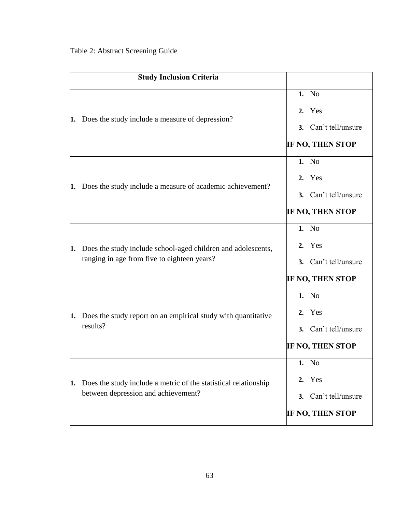|    | <b>Study Inclusion Criteria</b>                                                                             |                                                                       |
|----|-------------------------------------------------------------------------------------------------------------|-----------------------------------------------------------------------|
| 1. | Does the study include a measure of depression?                                                             | 1. No<br>2. Yes<br>3. Can't tell/unsure<br><b>IF NO, THEN STOP</b>    |
| 1. | Does the study include a measure of academic achievement?                                                   | 1. No<br>2. Yes<br>3. Can't tell/unsure<br><b>IF NO, THEN STOP</b>    |
| 1. | Does the study include school-aged children and adolescents,<br>ranging in age from five to eighteen years? | 1. No<br>2. Yes<br>Can't tell/unsure<br>3.<br><b>IF NO, THEN STOP</b> |
| 1. | Does the study report on an empirical study with quantitative<br>results?                                   | 1. No<br>2. Yes<br>3. Can't tell/unsure<br><b>IF NO, THEN STOP</b>    |
| 1. | Does the study include a metric of the statistical relationship<br>between depression and achievement?      | 1. No<br>Yes<br>2.<br>3. Can't tell/unsure<br><b>IF NO, THEN STOP</b> |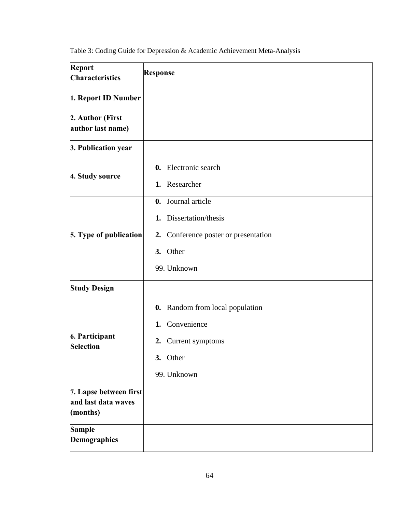| Table 3: Coding Guide for Depression & Academic Achievement Meta-Analysis |  |  |  |
|---------------------------------------------------------------------------|--|--|--|
|                                                                           |  |  |  |

| Report<br><b>Characteristics</b>                          | <b>Response</b>                         |
|-----------------------------------------------------------|-----------------------------------------|
| 1. Report ID Number                                       |                                         |
| 2. Author (First<br>author last name)                     |                                         |
| 3. Publication year                                       |                                         |
| 4. Study source                                           | 0. Electronic search                    |
|                                                           | 1. Researcher                           |
|                                                           | 0. Journal article                      |
|                                                           | 1. Dissertation/thesis                  |
| 5. Type of publication                                    | Conference poster or presentation<br>2. |
|                                                           | 3. Other                                |
|                                                           | 99. Unknown                             |
| <b>Study Design</b>                                       |                                         |
|                                                           | <b>0.</b> Random from local population  |
|                                                           | Convenience<br>1.                       |
| 6. Participant<br><b>Selection</b>                        | 2. Current symptoms                     |
|                                                           | 3. Other                                |
|                                                           | 99. Unknown                             |
| 7. Lapse between first<br>and last data waves<br>(months) |                                         |
| <b>Sample</b><br>Demographics                             |                                         |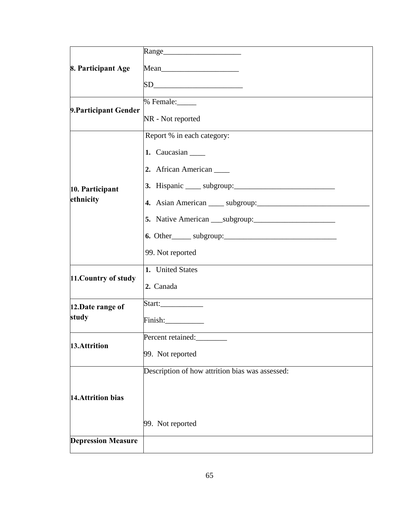| 8. Participant Age        |                                                 |
|---------------------------|-------------------------------------------------|
|                           |                                                 |
| 9. Participant Gender     | % Female:_____                                  |
|                           | NR - Not reported                               |
|                           | Report % in each category:                      |
|                           | 1. Caucasian ______                             |
|                           | 2. African American                             |
| 10. Participant           |                                                 |
| ethnicity                 |                                                 |
|                           |                                                 |
|                           |                                                 |
|                           | 99. Not reported                                |
|                           | 1. United States                                |
| 11. Country of study      | 2. Canada                                       |
| 12.Date range of          |                                                 |
| study                     |                                                 |
| 13.Attrition              | Percent retained:                               |
|                           | 99. Not reported                                |
|                           | Description of how attrition bias was assessed: |
| 14. Attrition bias        |                                                 |
|                           | 99. Not reported                                |
| <b>Depression Measure</b> |                                                 |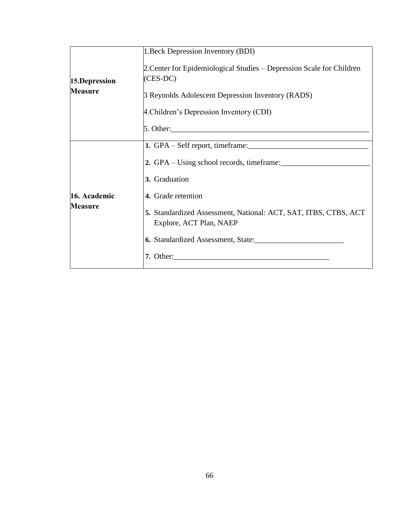|                | 1. Beck Depression Inventory (BDI)                                                         |  |  |  |  |  |  |  |  |
|----------------|--------------------------------------------------------------------------------------------|--|--|--|--|--|--|--|--|
| 15.Depression  | 2. Center for Epidemiological Studies – Depression Scale for Children<br>(CES-DC)          |  |  |  |  |  |  |  |  |
| <b>Measure</b> | 3 Reynolds Adolescent Depression Inventory (RADS)                                          |  |  |  |  |  |  |  |  |
|                | 4. Children's Depression Inventory (CDI)                                                   |  |  |  |  |  |  |  |  |
|                |                                                                                            |  |  |  |  |  |  |  |  |
|                |                                                                                            |  |  |  |  |  |  |  |  |
|                | 2. GPA – Using school records, timeframe:                                                  |  |  |  |  |  |  |  |  |
|                | 3. Graduation                                                                              |  |  |  |  |  |  |  |  |
| 16. Academic   | 4. Grade retention                                                                         |  |  |  |  |  |  |  |  |
| <b>Measure</b> | 5. Standardized Assessment, National: ACT, SAT, ITBS, CTBS, ACT<br>Explore, ACT Plan, NAEP |  |  |  |  |  |  |  |  |
|                | 6. Standardized Assessment, State:                                                         |  |  |  |  |  |  |  |  |
|                | 7. Other:                                                                                  |  |  |  |  |  |  |  |  |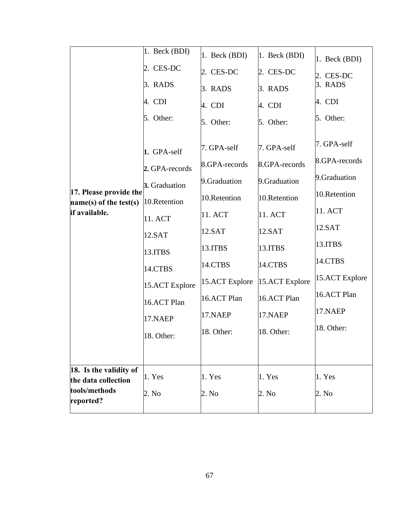|                                                    | $1.$ Beck (BDI) | 1. Beck (BDI)  | $1.$ Beck (BDI) | 1. Beck (BDI)  |
|----------------------------------------------------|-----------------|----------------|-----------------|----------------|
|                                                    | 2. CES-DC       | 2. CES-DC      | 2. CES-DC       | 2. CES-DC      |
|                                                    | 3. RADS         | 3. RADS        | 3. RADS         | 3. RADS        |
|                                                    | 4. CDI          | 4. CDI         | 4. CDI          | 4. CDI         |
|                                                    | 5. Other:       | 5. Other:      | 5. Other:       | 5. Other:      |
|                                                    | 1. GPA-self     | 7. GPA-self    | 7. GPA-self     | 7. GPA-self    |
|                                                    | 2. GPA-records  | 8.GPA-records  | 8.GPA-records   | 8.GPA-records  |
|                                                    | 3. Graduation   | 9.Graduation   | 9.Graduation    | 9.Graduation   |
| 17. Please provide the<br>$name(s)$ of the test(s) | 10.Retention    | 10.Retention   | 10.Retention    | 10.Retention   |
| if available.                                      | 11. ACT         | 11. ACT        | 11. ACT         | 11. ACT        |
|                                                    | 12.SAT          | 12.SAT         | 12.SAT          | 12.SAT         |
|                                                    | 13.ITBS         | 13.ITBS        | 13.ITBS         | 13.ITBS        |
|                                                    | 14.CTBS         | 14.CTBS        | 14.CTBS         | 14.CTBS        |
|                                                    | 15.ACT Explore  | 15.ACT Explore | 15.ACT Explore  | 15.ACT Explore |
|                                                    | 16.ACT Plan     | 16.ACT Plan    | 16.ACT Plan     | 16.ACT Plan    |
|                                                    | 17.NAEP         | 17.NAEP        | 17.NAEP         | 17.NAEP        |
|                                                    | 18. Other:      | 18. Other:     | 18. Other:      | 18. Other:     |
|                                                    |                 |                |                 |                |
| 18. Is the validity of<br>the data collection      | 1. Yes          | 1. Yes         | 1. Yes          | 1. Yes         |
| tools/methods<br>reported?                         | 2. No           | 2. No          | 2. No           | 2. No          |
|                                                    |                 |                |                 |                |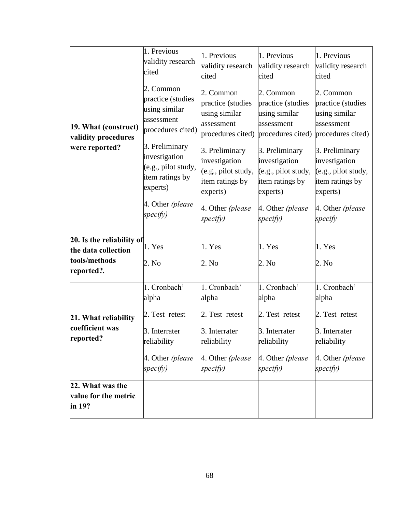|                                                                                 | 1. Previous<br>validity research<br>cited                                                                                                                                                                   | 1. Previous<br>validity research<br>cited                                                                                                                                                                   | 1. Previous<br>validity research<br>cited                                                                                                                                                                   | 1. Previous<br>validity research<br>cited                                                                                                                                                                  |  |
|---------------------------------------------------------------------------------|-------------------------------------------------------------------------------------------------------------------------------------------------------------------------------------------------------------|-------------------------------------------------------------------------------------------------------------------------------------------------------------------------------------------------------------|-------------------------------------------------------------------------------------------------------------------------------------------------------------------------------------------------------------|------------------------------------------------------------------------------------------------------------------------------------------------------------------------------------------------------------|--|
| 19. What (construct)<br>validity procedures<br>were reported?                   | 2. Common<br>practice (studies<br>using similar<br>assessment<br>procedures cited)<br>3. Preliminary<br>investigation<br>(e.g., pilot study,<br>item ratings by<br>experts)<br>4. Other (please<br>specify) | 2. Common<br>practice (studies<br>using similar<br>assessment<br>procedures cited)<br>3. Preliminary<br>investigation<br>(e.g., pilot study,<br>item ratings by<br>experts)<br>4. Other (please<br>specify) | 2. Common<br>practice (studies<br>using similar<br>assessment<br>procedures cited)<br>3. Preliminary<br>investigation<br>(e.g., pilot study,<br>item ratings by<br>experts)<br>4. Other (please<br>specify) | 2. Common<br>practice (studies<br>using similar<br>assessment<br>procedures cited)<br>3. Preliminary<br>investigation<br>(e.g., pilot study,<br>item ratings by<br>experts)<br>4. Other (please<br>specify |  |
| 20. Is the reliability of<br>the data collection<br>tools/methods<br>reported?. | 1. Yes<br>2. No                                                                                                                                                                                             | 1. Yes<br>2. No                                                                                                                                                                                             | 1. Yes<br>2. No                                                                                                                                                                                             | 1. Yes<br>2. No                                                                                                                                                                                            |  |
|                                                                                 | 1. Cronbach'<br>alpha                                                                                                                                                                                       | 1. Cronbach'<br>alpha                                                                                                                                                                                       | 1. Cronbach'<br>alpha                                                                                                                                                                                       | 1. Cronbach'<br>alpha                                                                                                                                                                                      |  |
| 21. What reliability<br>coefficient was<br>reported?                            | 2. Test–retest<br>3. Interrater<br>reliability<br>4. Other (please<br>specify)                                                                                                                              | 2. Test-retest<br>3. Interrater<br>reliability<br>4. Other (please<br>specify)                                                                                                                              | 2. Test-retest<br>3. Interrater<br>reliability<br>4. Other (please<br>specify)                                                                                                                              | 2. Test-retest<br>3. Interrater<br>reliability<br>4. Other (please<br>specify)                                                                                                                             |  |
| 22. What was the<br>value for the metric<br>in 19?                              |                                                                                                                                                                                                             |                                                                                                                                                                                                             |                                                                                                                                                                                                             |                                                                                                                                                                                                            |  |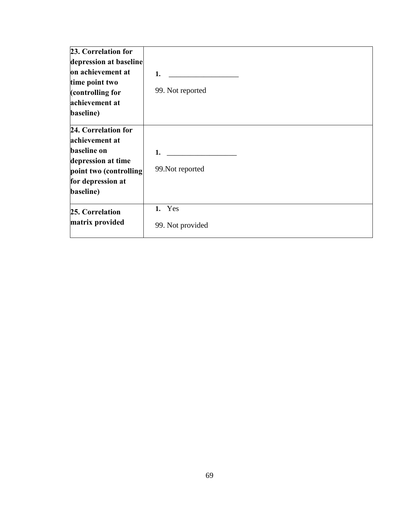| 23. Correlation for<br>depression at baseline<br>on achievement at<br>time point two                                                          | 1.                         |
|-----------------------------------------------------------------------------------------------------------------------------------------------|----------------------------|
| (controlling for<br>achievement at<br>baseline)                                                                                               | 99. Not reported           |
| 24. Correlation for<br>achievement at<br><b>baseline</b> on<br>depression at time<br>point two (controlling<br>for depression at<br>baseline) | 1.<br>99. Not reported     |
| 25. Correlation<br>matrix provided                                                                                                            | 1. Yes<br>99. Not provided |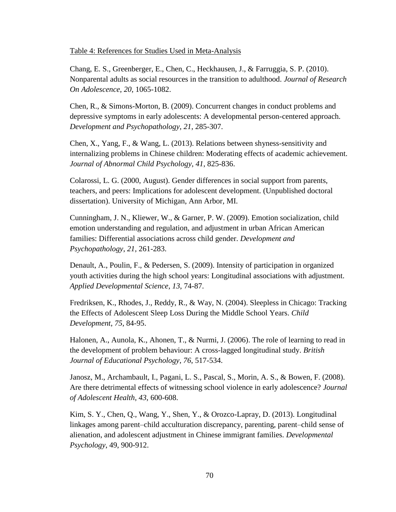#### Table 4: References for Studies Used in Meta-Analysis

Chang, E. S., Greenberger, E., Chen, C., Heckhausen, J., & Farruggia, S. P. (2010). Nonparental adults as social resources in the transition to adulthood. *Journal of Research On Adolescence*, *20*, 1065-1082.

Chen, R., & Simons-Morton, B. (2009). Concurrent changes in conduct problems and depressive symptoms in early adolescents: A developmental person-centered approach. *Development and Psychopathology*, *21*, 285-307.

Chen, X., Yang, F., & Wang, L. (2013). Relations between shyness-sensitivity and internalizing problems in Chinese children: Moderating effects of academic achievement. *Journal of Abnormal Child Psychology*, *41*, 825-836.

Colarossi, L. G. (2000, August). Gender differences in social support from parents, teachers, and peers: Implications for adolescent development. (Unpublished doctoral dissertation). University of Michigan, Ann Arbor, MI.

Cunningham, J. N., Kliewer, W., & Garner, P. W. (2009). Emotion socialization, child emotion understanding and regulation, and adjustment in urban African American families: Differential associations across child gender. *Development and Psychopathology*, *21*, 261-283.

Denault, A., Poulin, F., & Pedersen, S. (2009). Intensity of participation in organized youth activities during the high school years: Longitudinal associations with adjustment. *Applied Developmental Science*, *13*, 74-87.

Fredriksen, K., Rhodes, J., Reddy, R., & Way, N. (2004). Sleepless in Chicago: Tracking the Effects of Adolescent Sleep Loss During the Middle School Years. *Child Development*, *75*, 84-95.

Halonen, A., Aunola, K., Ahonen, T., & Nurmi, J. (2006). The role of learning to read in the development of problem behaviour: A cross-lagged longitudinal study. *British Journal of Educational Psychology*, *76*, 517-534.

Janosz, M., Archambault, I., Pagani, L. S., Pascal, S., Morin, A. S., & Bowen, F. (2008). Are there detrimental effects of witnessing school violence in early adolescence? *Journal of Adolescent Health*, *43*, 600-608.

Kim, S. Y., Chen, Q., Wang, Y., Shen, Y., & Orozco-Lapray, D. (2013). Longitudinal linkages among parent–child acculturation discrepancy, parenting, parent–child sense of alienation, and adolescent adjustment in Chinese immigrant families. *Developmental Psychology*, 49, 900-912.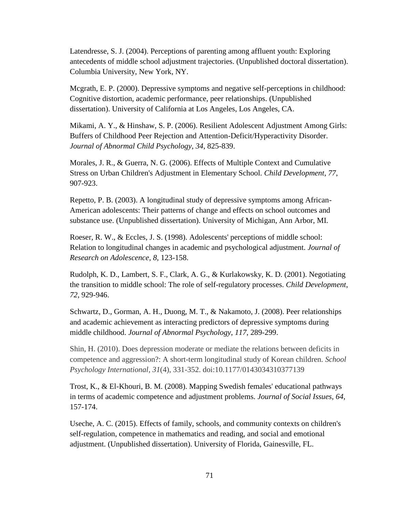Latendresse, S. J. (2004). Perceptions of parenting among affluent youth: Exploring antecedents of middle school adjustment trajectories. (Unpublished doctoral dissertation). Columbia University, New York, NY.

Mcgrath, E. P. (2000). Depressive symptoms and negative self-perceptions in childhood: Cognitive distortion, academic performance, peer relationships. (Unpublished dissertation). University of California at Los Angeles, Los Angeles, CA.

Mikami, A. Y., & Hinshaw, S. P. (2006). Resilient Adolescent Adjustment Among Girls: Buffers of Childhood Peer Rejection and Attention-Deficit/Hyperactivity Disorder. *Journal of Abnormal Child Psychology*, *34*, 825-839.

Morales, J. R., & Guerra, N. G. (2006). Effects of Multiple Context and Cumulative Stress on Urban Children's Adjustment in Elementary School. *Child Development*, *77*, 907-923.

Repetto, P. B. (2003). A longitudinal study of depressive symptoms among African-American adolescents: Their patterns of change and effects on school outcomes and substance use. (Unpublished dissertation). University of Michigan, Ann Arbor, MI.

Roeser, R. W., & Eccles, J. S. (1998). Adolescents' perceptions of middle school: Relation to longitudinal changes in academic and psychological adjustment. *Journal of Research on Adolescence*, *8*, 123-158.

Rudolph, K. D., Lambert, S. F., Clark, A. G., & Kurlakowsky, K. D. (2001). Negotiating the transition to middle school: The role of self-regulatory processes. *Child Development*, *72*, 929-946.

Schwartz, D., Gorman, A. H., Duong, M. T., & Nakamoto, J. (2008). Peer relationships and academic achievement as interacting predictors of depressive symptoms during middle childhood. *Journal of Abnormal Psychology*, *117*, 289-299.

Shin, H. (2010). Does depression moderate or mediate the relations between deficits in competence and aggression?: A short-term longitudinal study of Korean children. *School Psychology International*, *31*(4), 331-352. doi:10.1177/0143034310377139

Trost, K., & El-Khouri, B. M. (2008). Mapping Swedish females' educational pathways in terms of academic competence and adjustment problems. *Journal of Social Issues*, *64*, 157-174.

Useche, A. C. (2015). Effects of family, schools, and community contexts on children's self-regulation, competence in mathematics and reading, and social and emotional adjustment. (Unpublished dissertation). University of Florida, Gainesville, FL.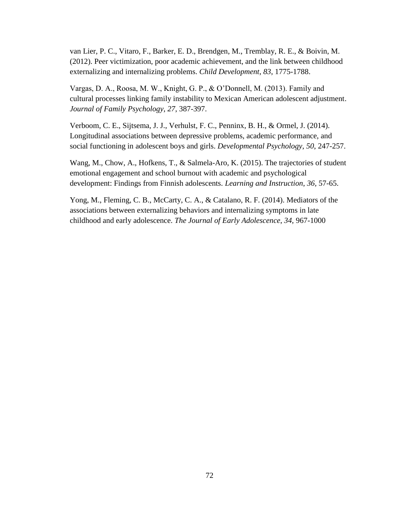van Lier, P. C., Vitaro, F., Barker, E. D., Brendgen, M., Tremblay, R. E., & Boivin, M. (2012). Peer victimization, poor academic achievement, and the link between childhood externalizing and internalizing problems. *Child Development*, *83*, 1775-1788.

Vargas, D. A., Roosa, M. W., Knight, G. P., & O'Donnell, M. (2013). Family and cultural processes linking family instability to Mexican American adolescent adjustment. *Journal of Family Psychology*, *27*, 387-397.

Verboom, C. E., Sijtsema, J. J., Verhulst, F. C., Penninx, B. H., & Ormel, J. (2014). Longitudinal associations between depressive problems, academic performance, and social functioning in adolescent boys and girls. *Developmental Psychology*, *50*, 247-257.

Wang, M., Chow, A., Hofkens, T., & Salmela-Aro, K. (2015). The trajectories of student emotional engagement and school burnout with academic and psychological development: Findings from Finnish adolescents. *Learning and Instruction*, *36,* 57-65.

Yong, M., Fleming, C. B., McCarty, C. A., & Catalano, R. F. (2014). Mediators of the associations between externalizing behaviors and internalizing symptoms in late childhood and early adolescence. *The Journal of Early Adolescence*, *34*, 967-1000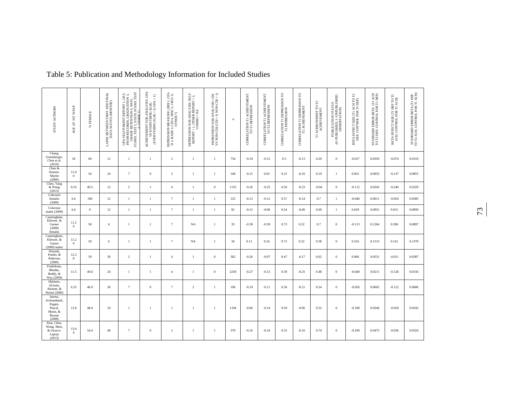| STUDY AUTHORS                                                                | AGE AT IST WAVE        | FEMALE<br>æ  | LAPSE BETWEEN FIRST AND FINAL DATA WAVES (MONTHS) | GPA SELF/PARENT REPORT I , GPA<br>FROM RECORDS, GRADUATION 3,<br>GRADE RETENTION 4, NATL.<br>STAND. TEST 5, STATE STAND. TEST | $\begin{array}{ll} \text{ACHEVEMET SUB-ANALYSIS: GRA} \\ \text{VS BEVERYTHING ELSE:} \\ \text{(FVERYTHNG ELSE = 0, GPA = 1)} \end{array}$ | DEPRESSION MEASURE: (BDI 1, CES<br>D 2, RADS 3, CDI 4, DISC 5, CBCL 6,<br>OTHER 7) | $\begin{array}{lll} \text{DEPRESSION SUB-ANALYSIS: SEL-} \\ \text{REPORT} = 1, & \text{OTHER REPORT} = 2, \\ \text{COMBO} = \text{NA} \end{array}$ | DEPRESSION SUB-ANALYSIS: CDI<br>VS NON-CDI (CDI = 0, NON-CDI = 1) | $\approx$ | CORRELATION T1 ACHIEVEMENT<br>TO T1 DEPRESSION | CORRELATION T1 ACHIEVEMENT<br>TO T2 DEPRESSION | CORRELATION TI DEPRESSION TO<br>T2 DEPRESSION | CORRELATION TI DEPRESSION TO<br>T2 ACHIEVEMENT | $\begin{array}{ll} \text{TI}\ \text{ACHEVENIENT} \ \text{TO}\ \text{TZ} \\ \text{ACHEVENENTY} \end{array}$ | PUBLICATION STATUS<br>(0=PUBLISHED, 1=UNPUBLISHED)<br>DISSERTATION) | BETA EFFECT SIZE (TI ACH TO T2<br>DEP, CONTROL FOR TI DEP) | STANDARD ERROR BETA (TI ACH<br>TO T2 DEP, CONTROL FOR TI DEP) | BETA EFFECT SIZE (T1 DEP TO T2<br>ACH, CONTROL FOR T1 ACH) | STANDARD ERROR BETA (TI DEP TO T2 ACH, CONTROL FOR T1 ACH) |
|------------------------------------------------------------------------------|------------------------|--------------|---------------------------------------------------|-------------------------------------------------------------------------------------------------------------------------------|-------------------------------------------------------------------------------------------------------------------------------------------|------------------------------------------------------------------------------------|----------------------------------------------------------------------------------------------------------------------------------------------------|-------------------------------------------------------------------|-----------|------------------------------------------------|------------------------------------------------|-----------------------------------------------|------------------------------------------------|------------------------------------------------------------------------------------------------------------|---------------------------------------------------------------------|------------------------------------------------------------|---------------------------------------------------------------|------------------------------------------------------------|------------------------------------------------------------|
| Chang,<br>Greenberger,<br>Chen et al.<br>(2010)                              | 18                     | 60           | 12                                                | $\mathbf{1}$                                                                                                                  | -1                                                                                                                                        | $\overline{2}$                                                                     | $\mathbf{1}$                                                                                                                                       | $\mathbf{1}$                                                      | 754       | $-0.19$                                        | $-0.12$                                        | 0.5                                           | $-0.13$                                        | 0.29                                                                                                       | $\overline{0}$                                                      | $-0.027$                                                   | 0.0359                                                        | $-0.074$                                                   | 0.0310                                                     |
| Chen &<br>Simons-<br>Martin<br>(2009)                                        | 11.0<br>$\overline{0}$ | 54           | 24                                                | $\tau$                                                                                                                        | $\Omega$                                                                                                                                  | 5                                                                                  | $\mathbf{1}$                                                                                                                                       | $\mathbf{1}$                                                      | 108       | $-0.15$                                        | 0.03                                           | 0.25                                          | $-0.16$                                        | 0.19                                                                                                       | $\mathbf{1}$                                                        | 0.052                                                      | 0.0935                                                        | $-0.137$                                                   | 0.0855                                                     |
| Chen, Yang<br>& Wang<br>(2013)                                               | 9.33                   | 49.5         | 12                                                | $\overline{2}$                                                                                                                | -1                                                                                                                                        | $\overline{4}$                                                                     | $\mathbf{1}$                                                                                                                                       | $\mathbf{0}$                                                      | 1155      | $-0.26$                                        | $-0.25$                                        | 0.56                                          | $-0.23$                                        | $-0.04$                                                                                                    | $\mathbf{0}$                                                        | $-0.112$                                                   | 0.0245                                                        | $-0.240$                                                   | 0.0329                                                     |
| Colarossi<br>females<br>(2000)                                               | 6.6                    | 100          | 12                                                | $\mathbf{1}$                                                                                                                  | -1                                                                                                                                        | $\overline{7}$                                                                     | 1                                                                                                                                                  | $\mathbf{1}$                                                      | 125       | $-0.13$                                        | $-0.12$                                        | 0.57                                          | $-0.14$                                        | 0.7                                                                                                        | $\mathbf{1}$                                                        | $-0.048$                                                   | 0.0611                                                        | $-0.054$                                                   | 0.0585                                                     |
| Colarossi<br>males (2000)                                                    | 6.6                    | $\mathbf{0}$ | 12                                                | $\mathbf{1}$                                                                                                                  | $\mathbf{1}$                                                                                                                              | $7\phantom{.0}$                                                                    | 1                                                                                                                                                  | $\mathbf{1}$                                                      | 92        | $-0.15$                                        | $-0.06$                                        | 0.54                                          | $-0.06$                                        | 0.69                                                                                                       | $\mathbf{1}$                                                        | 0.018                                                      | 0.0951                                                        | 0.031                                                      | 0.0850                                                     |
| Cunningham,<br>Kliewer, &<br>Garner<br>(2009)<br>females                     | 11.2<br>9              | 50           | 6                                                 | 1                                                                                                                             | -1                                                                                                                                        | $\overline{7}$                                                                     | <b>NA</b>                                                                                                                                          | $\mathbf{1}$                                                      | 35        | $-0.38$                                        | $-0.39$                                        | 0.72                                          | 0.22                                           | 0.7                                                                                                        | $\overline{0}$                                                      | $-0.113$                                                   | 0.1264                                                        | 0.596                                                      | 0.0897                                                     |
| Cunningham.<br>Kliewer, &<br>Garner<br>$(2009)$ males                        | 11.2<br>$\overline{9}$ | 50           | 6                                                 | $\mathbf{1}$                                                                                                                  | $\mathbf{1}$                                                                                                                              | $7\phantom{.0}$                                                                    | NA                                                                                                                                                 | $\mathbf{1}$                                                      | 34        | 0.11                                           | 0.24                                           | 0.72                                          | 0.22                                           | 0.58                                                                                                       | $\overline{0}$                                                      | 0.163                                                      | 0.1313                                                        | 0.161                                                      | 0.1370                                                     |
| Denault.<br>Poulin, &<br>Pederson<br>(2009)                                  | 12.3<br>$\bf 8$        | 59           | 36                                                | 2                                                                                                                             | -1                                                                                                                                        | $\overline{4}$                                                                     | 1                                                                                                                                                  | $\bf{0}$                                                          | 362       | $-0.26$                                        | $-0.07$                                        | 0.47                                          | $-0.17$                                        | 0.62                                                                                                       | $\mathbf{0}$                                                        | 0.066                                                      | 0.0531                                                        | $-0.011$                                                   | 0.0387                                                     |
| Fredriksen.<br>Rhodes,<br>Reddy, &<br>Way (2004)                             | 11.5                   | 49.6         | 24                                                | $\mathbf{1}$                                                                                                                  | -1                                                                                                                                        | $\overline{4}$                                                                     | $\mathbf{1}$                                                                                                                                       | $\mathbf{0}$                                                      | 2259      | $-0.27$                                        | $-0.15$                                        | 0.39                                          | $-0.25$                                        | 0.48                                                                                                       | $\overline{0}$                                                      | $-0.049$                                                   | 0.0211                                                        | $-0.128$                                                   | 0.0156                                                     |
| Halonen,<br>AUnola,<br>Ahonen, &<br>Nurmi (2006)                             | 6.25                   | 46.9         | 30                                                | $7\phantom{.0}$                                                                                                               | $\mathbf{0}$                                                                                                                              | $7\phantom{.0}$                                                                    | $\overline{2}$                                                                                                                                     | $\mathbf{1}$                                                      | 196       | $-0.19$                                        | $-0.11$                                        | 0.36                                          | $-0.21$                                        | 0.54                                                                                                       | $\mathbf{0}$                                                        | $-0.056$                                                   | 0.0665                                                        | $-0.112$                                                   | 0.0606                                                     |
| Janosz,<br>Archambault,<br>Pagani,<br>Pascal,<br>Morin, &<br>Bowen<br>(2008) | 12.8                   | 48.4         | 10                                                | $\overline{1}$                                                                                                                | -1                                                                                                                                        | $\overline{1}$                                                                     | $\mathbf{1}$                                                                                                                                       | $\mathbf{1}$                                                      | 1104      | $-0.06$                                        | $-0.14$                                        | 0.59                                          | $-0.06$                                        | 0.55                                                                                                       | $\overline{0}$                                                      | $-0.108$                                                   | 0.0246                                                        | $-0.029$                                                   | 0.0243                                                     |
| Kim, Chen,<br>Wang, Shen,<br>& Orozco-<br>Lapray<br>(2013)                   | 13.0<br>$\overline{4}$ | 54.4         | 48                                                | $\tau$                                                                                                                        | $\theta$                                                                                                                                  | $\overline{2}$                                                                     | 1                                                                                                                                                  | $\mathbf{1}$                                                      | 379       | $-0.16$                                        | $-0.16$                                        | 0.35                                          | $-0.16$                                        | 0.74                                                                                                       | $\overline{0}$                                                      | $-0.109$                                                   | 0.0475                                                        | $-0.036$                                                   | 0.0324                                                     |

# Table 5: Publication and Methodology Information for Included Studies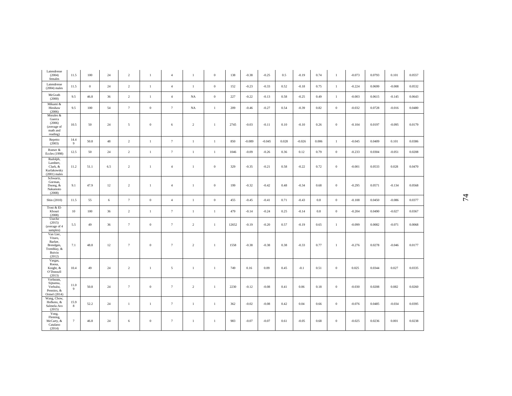| Latendresse<br>(2004)<br>females                                                | 11.5       | 100      | 24  | 2               | $\mathbf{1}$     | $\overline{4}$  | $\mathbf{1}$   | $\boldsymbol{0}$ | 138   | $-0.38$  | $-0.25$  | 0.5   | $-0.19$  | 0.74  | 1              | $-0.073$ | 0.0793 | 0.101    | 0.0557 |
|---------------------------------------------------------------------------------|------------|----------|-----|-----------------|------------------|-----------------|----------------|------------------|-------|----------|----------|-------|----------|-------|----------------|----------|--------|----------|--------|
| Latendresse<br>$(2004)$ males                                                   | 11.5       | $\bf{0}$ | 24  | 2               | $\mathbf{1}$     | $\overline{4}$  | $\mathbf{1}$   | $\boldsymbol{0}$ | 152   | $-0.23$  | $-0.33$  | 0.52  | $-0.18$  | 0.75  | -1             | $-0.224$ | 0.0699 | $-0.008$ | 0.0532 |
| McGrath<br>(2000)                                                               | 9.5        | 46.8     | 36  | 2               | $\mathbf{1}$     | $\overline{4}$  | <b>NA</b>      | $\boldsymbol{0}$ | 227   | $-0.22$  | $-0.13$  | 0.58  | $-0.25$  | 0.49  | -1             | $-0.003$ | 0.0615 | $-0.145$ | 0.0643 |
| Mikami &<br>Hinshaw<br>(2006)                                                   | 9.5        | 100      | 54  | $\tau$          | $\boldsymbol{0}$ | $\tau$          | NA             | 1                | 209   | $-0.46$  | $-0.27$  | 0.54  | $-0.39$  | 0.82  | $\overline{0}$ | $-0.032$ | 0.0728 | $-0.016$ | 0.0480 |
| Morales &<br>Guerra<br>(2006)<br>(average of<br>math and<br>reading)            | 10.5       | 50       | 24  | 5               | $\overline{0}$   | 6               | $\mathcal{D}$  | 1                | 2745  | $-0.03$  | $-0.11$  | 0.10  | $-0.10$  | 0.26  | $\bf{0}$       | $-0.104$ | 0.0197 | $-0.095$ | 0.0179 |
| Repetto<br>(2003)                                                               | 14.4<br>9  | 50.8     | 48  | $\sqrt{2}$      | $\mathbf{1}$     | $\tau$          | $\mathbf{1}$   | $\mathbf{1}$     | 850   | $-0.089$ | $-0.045$ | 0.028 | $-0.026$ | 0.006 | 1              | $-0.045$ | 0.0409 | 0.101    | 0.0386 |
| Roeser &<br>Eccles (1998)                                                       | 12.5       | 50       | 24  | 2               | $\mathbf{1}$     | $\overline{7}$  | $\mathbf{1}$   | $\mathbf{1}$     | 1046  | $-0.09$  | $-0.26$  | 0.36  | 0.12     | 0.79  | $\bf{0}$       | $-0.233$ | 0.0304 | $-0.051$ | 0.0208 |
| Rudolph,<br>Lambert,<br>Clark, &<br>Kurlakowsky<br>$(2001)$ males               | 11.2       | 51.1     | 6.5 | 2               | 1                | $\overline{4}$  | $\mathbf{1}$   | $\theta$         | 329   | $-0.35$  | $-0.21$  | 0.58  | $-0.22$  | 0.72  | $\bf{0}$       | $-0.001$ | 0.0533 | 0.028    | 0.0470 |
| Schwartz,<br>Gorman,<br>Duong, &<br>Nakamoto<br>(2008)                          | 9.1        | 47.9     | 12  | $\overline{2}$  | -1               | $\overline{4}$  | $\mathbf{1}$   | $\boldsymbol{0}$ | 199   | $-0.32$  | $-0.42$  | 0.48  | $-0.34$  | 0.68  | $\bf{0}$       | $-0.295$ | 0.0571 | $-0.134$ | 0.0568 |
| Shin (2010)                                                                     | 11.5       | 55       | 6   | $\overline{7}$  | $\mathbf{0}$     | $\overline{4}$  | 1              | $\boldsymbol{0}$ | 455   | $-0.45$  | $-0.41$  | 0.71  | $-0.43$  | 0.8   | $\bf{0}$       | $-0.108$ | 0.0450 | $-0.086$ | 0.0377 |
| Trost & El-<br>Khouri<br>(2008)                                                 | 10         | 100      | 36  | 2               | -1               | $\tau$          | $\mathbf{1}$   | 1                | 479   | $-0.14$  | $-0.24$  | 0.25  | $-0.14$  | 0.8   | $\bf{0}$       | $-0.204$ | 0.0490 | $-0.027$ | 0.0367 |
| Useche<br>(2015)<br>(average of 4)<br>samples)                                  | 5.5        | 49       | 36  | $7\phantom{.0}$ | $\theta$         | $\tau$          | $\overline{2}$ | 1                | 12652 | $-0.19$  | $-0.20$  | 0.57  | $-0.19$  | 0.65  | -1             | $-0.099$ | 0.0082 | $-0.071$ | 0.0068 |
| Van Lier,<br>Vitaro,<br>Barker,<br>Brendgen,<br>Tremblay, &<br>Boivin<br>(2012) | 7.1        | 48.8     | 12  | $7\phantom{.0}$ | $\mathbf{0}$     | $\tau$          | 2              | 1                | 1558  | $-0.38$  | $-0.38$  | 0.38  | $-0.33$  | 0.77  | -1             | $-0.276$ | 0.0278 | $-0.046$ | 0.0177 |
| Vargas,<br>Roosa,<br>Knight, &<br>O'Donnell<br>(2013)                           | 10.4       | 49       | 24  | 2               | -1               | 5               | 1              | $\mathbf{1}$     | 749   | 0.16     | 0.09     | 0.45  | $-0.1$   | 0.51  | $\bf{0}$       | 0.025    | 0.0344 | 0.027    | 0.0335 |
| Verboom,<br>Sijtsema,<br>Verhulst,<br>Penninx, &<br>Ormel (2014)                | 11.0<br>-9 | 50.8     | 24  | $7\phantom{.0}$ | $\theta$         | $7\phantom{.0}$ | 2              | $\mathbf{1}$     | 2230  | $-0.12$  | $-0.08$  | 0.41  | 0.06     | 0.18  | $\bf{0}$       | $-0.030$ | 0.0208 | 0.082    | 0.0260 |
| Wang, Chow,<br>Hofkens, &<br>Salmela-Aro<br>(2015)                              | 15.9<br>8  | 52.2     | 24  | $\mathbf{1}$    | -1               | $7\phantom{.0}$ | $\mathbf{1}$   | $\mathbf{1}$     | 362   | $-0.02$  | $-0.08$  | 0.42  | 0.04     | 0.66  | $\bf{0}$       | $-0.076$ | 0.0485 | $-0.034$ | 0.0395 |
| Yong,<br>Fleming,<br>McCarty, &<br>Catalano<br>(2014)                           | $\tau$     | 46.8     | 24  | 6               | $\mathbf{0}$     | $\tau$          | $\mathbf{1}$   | 1                | 983   | $-0.07$  | $-0.07$  | 0.61  | $-0.05$  | 0.68  | $\bf{0}$       | $-0.025$ | 0.0236 | 0.001    | 0.0238 |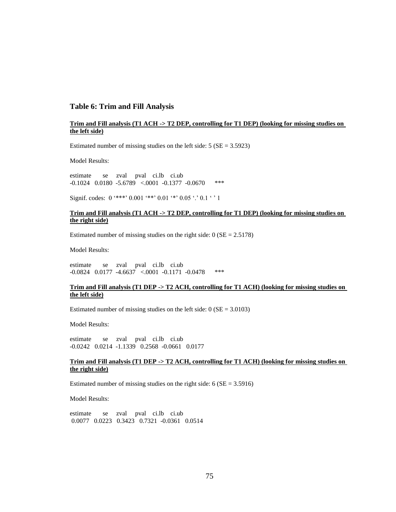#### **Table 6: Trim and Fill Analysis**

#### **Trim and Fill analysis (T1 ACH -> T2 DEP, controlling for T1 DEP) (looking for missing studies on the left side)**

Estimated number of missing studies on the left side:  $5 (SE = 3.5923)$ 

Model Results:

estimate se zval pval ci.lb ci.ub -0.1024 0.0180 -5.6789 <.0001 -0.1377 -0.0670 \*\*\*

Signif. codes:  $0$  '\*\*\*'  $0.001$  '\*\*'  $0.01$  '\*'  $0.05$  '.'  $0.1$  ' ' 1

#### **Trim and Fill analysis (T1 ACH -> T2 DEP, controlling for T1 DEP) (looking for missing studies on the right side)**

Estimated number of missing studies on the right side:  $0 (SE = 2.5178)$ 

Model Results:

estimate se zval pval ci.lb ci.ub -0.0824 0.0177 -4.6637 <.0001 -0.1171 -0.0478 \*\*\*

#### **Trim and Fill analysis (T1 DEP -> T2 ACH, controlling for T1 ACH) (looking for missing studies on the left side)**

Estimated number of missing studies on the left side:  $0 (SE = 3.0103)$ 

Model Results:

estimate se zval pval ci.lb ci.ub -0.0242 0.0214 -1.1339 0.2568 -0.0661 0.0177

#### **Trim and Fill analysis (T1 DEP -> T2 ACH, controlling for T1 ACH) (looking for missing studies on the right side)**

Estimated number of missing studies on the right side:  $6 (SE = 3.5916)$ 

Model Results:

estimate se zval pval ci.lb ci.ub 0.0077 0.0223 0.3423 0.7321 -0.0361 0.0514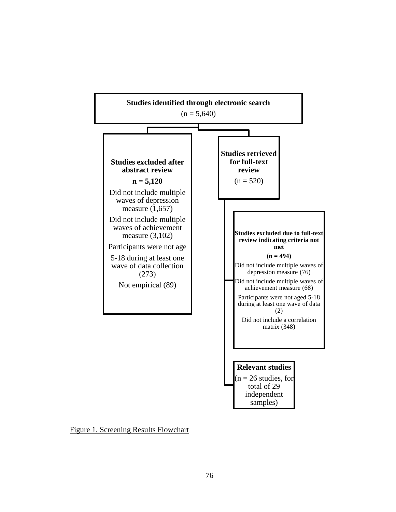

Figure 1. Screening Results Flowchart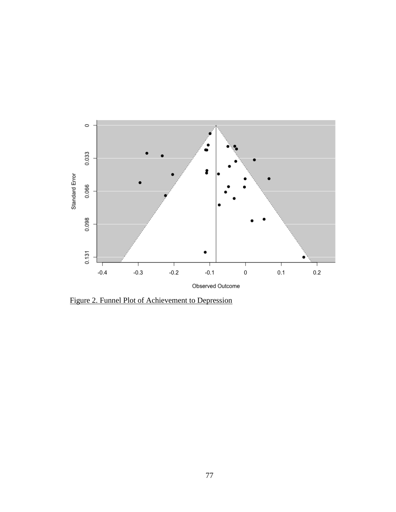

Figure 2. Funnel Plot of Achievement to Depression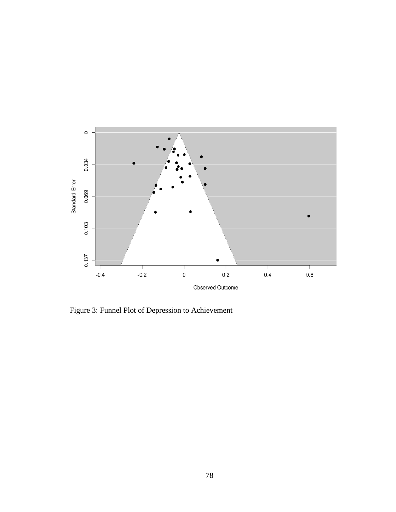

Figure 3: Funnel Plot of Depression to Achievement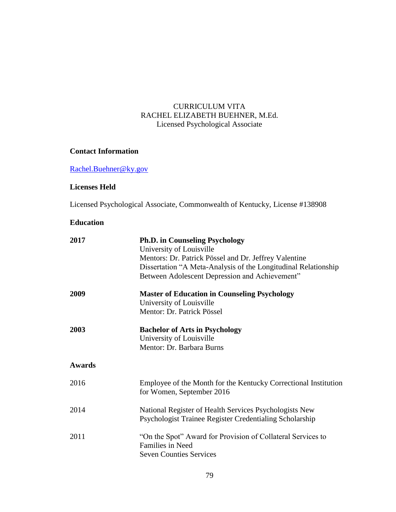### CURRICULUM VITA RACHEL ELIZABETH BUEHNER, M.Ed. Licensed Psychological Associate

### **Contact Information**

[Rachel.Buehner@ky.gov](mailto:Rachel.Buehner@ky.gov)

### **Licenses Held**

Licensed Psychological Associate, Commonwealth of Kentucky, License #138908

### **Education**

| 2017          | <b>Ph.D. in Counseling Psychology</b><br>University of Louisville<br>Mentors: Dr. Patrick Pössel and Dr. Jeffrey Valentine<br>Dissertation "A Meta-Analysis of the Longitudinal Relationship<br>Between Adolescent Depression and Achievement" |  |  |  |  |  |  |  |
|---------------|------------------------------------------------------------------------------------------------------------------------------------------------------------------------------------------------------------------------------------------------|--|--|--|--|--|--|--|
| 2009          | <b>Master of Education in Counseling Psychology</b><br>University of Louisville<br>Mentor: Dr. Patrick Pössel                                                                                                                                  |  |  |  |  |  |  |  |
| 2003          | <b>Bachelor of Arts in Psychology</b><br>University of Louisville<br>Mentor: Dr. Barbara Burns                                                                                                                                                 |  |  |  |  |  |  |  |
| <b>Awards</b> |                                                                                                                                                                                                                                                |  |  |  |  |  |  |  |
| 2016          | Employee of the Month for the Kentucky Correctional Institution<br>for Women, September 2016                                                                                                                                                   |  |  |  |  |  |  |  |
| 2014          | National Register of Health Services Psychologists New<br>Psychologist Trainee Register Credentialing Scholarship                                                                                                                              |  |  |  |  |  |  |  |
| 2011          | "On the Spot" Award for Provision of Collateral Services to<br>Families in Need<br><b>Seven Counties Services</b>                                                                                                                              |  |  |  |  |  |  |  |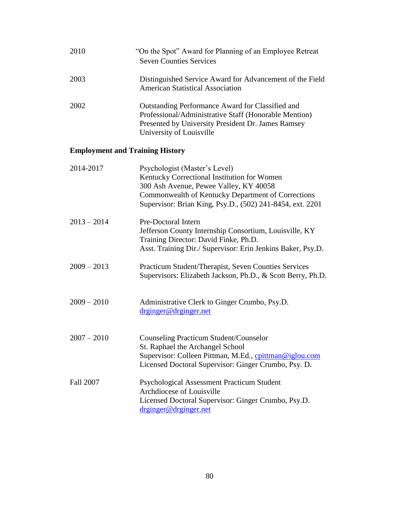| 2010 | "On the Spot" Award for Planning of an Employee Retreat<br><b>Seven Counties Services</b>                                                                                                          |
|------|----------------------------------------------------------------------------------------------------------------------------------------------------------------------------------------------------|
| 2003 | Distinguished Service Award for Advancement of the Field<br><b>American Statistical Association</b>                                                                                                |
| 2002 | <b>Outstanding Performance Award for Classified and</b><br>Professional/Administrative Staff (Honorable Mention)<br>Presented by University President Dr. James Ramsey<br>University of Louisville |

## **Employment and Training History**

| 2014-2017        | Psychologist (Master's Level)<br>Kentucky Correctional Institution for Women<br>300 Ash Avenue, Pewee Valley, KY 40058                                                                              |
|------------------|-----------------------------------------------------------------------------------------------------------------------------------------------------------------------------------------------------|
|                  | Commonwealth of Kentucky Department of Corrections<br>Supervisor: Brian King, Psy.D., (502) 241-8454, ext. 2201                                                                                     |
| $2013 - 2014$    | Pre-Doctoral Intern<br>Jefferson County Internship Consortium, Louisville, KY<br>Training Director: David Finke, Ph.D.<br>Asst. Training Dir./ Supervisor: Erin Jenkins Baker, Psy.D.               |
| $2009 - 2013$    | Practicum Student/Therapist, Seven Counties Services<br>Supervisors: Elizabeth Jackson, Ph.D., & Scott Berry, Ph.D.                                                                                 |
| $2009 - 2010$    | Administrative Clerk to Ginger Crumbo, Psy.D.<br>drginger@drginger.net                                                                                                                              |
| $2007 - 2010$    | <b>Counseling Practicum Student/Counselor</b><br>St. Raphael the Archangel School<br>Supervisor: Colleen Pittman, M.Ed., cpittman@iglou.com<br>Licensed Doctoral Supervisor: Ginger Crumbo, Psy. D. |
| <b>Fall 2007</b> | Psychological Assessment Practicum Student<br>Archdiocese of Louisville<br>Licensed Doctoral Supervisor: Ginger Crumbo, Psy.D.<br>drginger@drginger.net                                             |